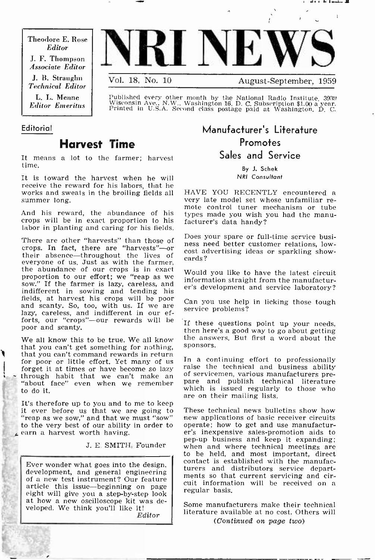Theodore E. Rose Editor J. F. Thompson Associate Editor

J. B. Straughn Technical Editor

L. L. Menne Editor Emeritus



Vol. 18, No. 10 August -September, 1959

Published every other month by the National Radio Institute, 3938 Wisconsin Ave., N.W., Washington 16, D. C. Subscription \$1.00 a year. Printed in U.S.A. Second class postage paid at Washington, D. C.

#### Editorial

## Harvest Time

It means a lot to the farmer; harvest time.

It is toward the harvest when he will receive the reward for his labors, that he<br>works and sweats in the broiling fields all - HAVE-YOU-RECENTLY-encountered -a works and sweats in the broiling fields all summer long.

And his reward, the abundance of his crops will be in exact proportion to his facturer's data handy? labor in planting and caring for his fields.

There are other "harvests" than those of the positional part of the existence busicrops. In fact, there are "harvests"-or their absence—throughout the lives of  $\frac{\cos t}{\cos t}$ everyone of us. Just as with the farmer, the abundance of our crops is in exact proportion to our effort; we "reap as we sow." If the farmer is lazy, careless, and indifferent in sowing and tending his<br>fields, at harvest his crops will be poor Ca<br>and scanty. So, too, with us. If we are Ca<br>lazy, careless, and indifferent in our eflazy, careless, and indifferent in our efforts, our "crops"-our rewards will be poor and scanty.

that you can't get something for nothing, sponsors.<br>that you can't command rewards in return<br>for poor or little effort. Yet many of us In a continuing effort to professionally forget it at times or have become so lazy raise the technical and business ability<br>through habit that we can't make an  $\frac{1}{2}$  of servicemen, various manufacturers pre-<br>"about face" even when we remember pare and publis to do it.

It's therefore up to you and to me to keep<br>it ever before us that we are going to These technical news bulletins show how<br>"reap as we sow," and that we must "sow" — new applications of basic receiver circuits "reap as we sow," and that we must "sow" to the very best of our ability in order to earn a harvest worth having.

Ever wonder what goes into the design, development, and general engineering of a new test instrument? Our feature article this issue-beginning on page regular basis. at how a new oscilloscope kit was developed. We think you'll like it!

Editor

## Manufacturer's Literature Promotes Sales and Service

By J. Schek NRI Consultant

very late model set whose unfamiliar re-<br>mote control tuner mechanism or tube types made you wish you had the manu-

Does your spare or full-time service busicost advertising ideas or sparkling show-

Would you like to have the latest circuit information straight from the manufacturer's development and service laboratory?

Can you use help in licking those tough service problems?

We all know this to be true. We all know the answers. But first a word about the If these questions point up your needs, then here's a good way to go about getting sponsors.

> raise the technical and business ability pare and publish technical literature which is issued regularly to those who are on their mailing lists.

pep-up business and keep it expanding;<br>J. E. SMITH, Founder when and where technical meetings are These technical news bulletins show how operate; how to get and use manufacturer's inexpensive sales -promotion aids to when and where technical meetings are to be held, and most important, direct contact is established with the manufacturers and distributors service departments so that current servicing and circuit information will be received on a

> Some manufacturers make their technical literature available at no cost. Others will (Continued on page two)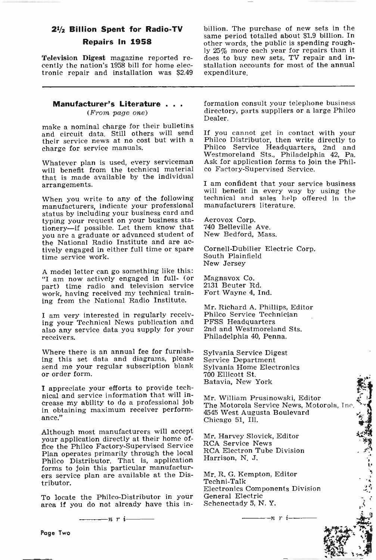# Repairs In 1958

Television Digest magazine reported re- cently the nation's 1958 bill for home electronic repair and installation was \$2.49

## **Manufacturer's Literature ...**<br>(*From page one*)

make a nominal charge for their bulletins and circuit data. Still others will send If you cannot get in contact with your their service news at no cost but with a Philco Distributor, then write directly to their service news at no cost but with a charge for service manuals.

Whatever plan is used, every serviceman Ask for application forms to join<br>will benefit from the technical material co Factory-Supervised Service. will benefit from the technical material that is made available by the individual arrangements.

When you write to any of the following manufacturers, indicate your professional status by including your business card and typing your request on your business sta-tionery-if possible. Let them know that you are a graduate or advanced student of the National Radio Institute and are actively engaged in either full time or spare Cornell-Dubilier<br>time service work. South Plainfield time service work.

A model letter can go something like this: "I am now actively engaged in full- (or part) time radio and television service work, having received my technical training from the National Radio Institute.

I am very interested in regularly receiving your Technical News publication and also any service data you supply for your receivers.

Where there is an annual fee for furnish-Where there is an annual fee for furnish-<br>ing this set data and diagrams, please Service Department send me your regular subscription blank or order form.

I appreciate your efforts to provide technical and service information that will in- crease my ability to do a professional job in obtaining maximum receiver performance."

Although most manufacturers will accept your application directly at their home office the Philco Factory -Supervised Service Plan operates primarily through the local forms to join this particular manufacturers service plan are available at the Distributor.

To locate the Philco-Distributor in your area if you do not already have this in-

**21/<sub>2</sub> Billion Spent for Radio-TV** billion. The purchase of new sets in the same period totalled about \$1.9 billion. In billion. The purchase of new sets in the other words, the public is spending roughly 25% more each year for repairs than it does to buy new sets. TV repair and installation accounts for most of the annual expenditure.

> formation consult your telephone business directory, parts suppliers or a large Philco Dealer.

> If you cannot get in contact with your Philco Service Headquarters, 2nd and Westmoreland Sts., Philadelphia 42, Pa. Ask for application forms to join the Phil-

> I am confident that your service business will benefit in every way by using the technical and sales help offered in the manufacturers literature.

Aerovox Corp. 740 Belleville Ave. New Bedford, Mass.

Cornell-Dubilier Electric Corp. New Jersey

Magnavox Co. 2131 Beuter Rd. Fort Wayne 4, Ind.

Mr. Richard A. Phillips, Editor Philco Service Technician PFSS Headquarters 2nd and Westmoreland Sts. Philadelphia 40, Penna.

Sylvania Home Electronics 700 Ellicott St. Batavia, New York

Mr. William Prusinowski, Editor The Motorola Service News, Motorola, Inc. 4545 West Augusta Boulevard Chicago 51, Ill.

Mr. Harvey Slovick, Editor RCA Service News RCA Electron Tube Division Harrison, N. J.

Mr. R. G. Kempton, Editor Techni-Talk Electronics Components Division General Electric Schenectady 5, N. Y.

 $\frac{1}{\cdots}$ n r i $\frac{1}{\cdots}$ 

(種の)いりきょう

 $\ddot{\cdot}$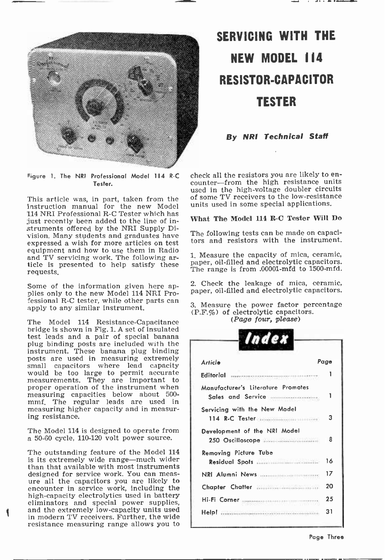

Tester.

This article was, in part, taken from the instruction manual for the new Model un<br>114 NRI Professional R-C Tester which has just recently been added to the line of instruments offered by the NRI Supply Division. Many students and graduates have expressed a wish for more articles on test equipment and how to use them in Radio<br>and TV servicing work. The following arand TV servicing work. The ronowing ar-<br>ticle is presented to help satisfy these paper, oil-filled and electrolytic capacitors. requests.

Some of the information given here ap-<br>plies only to the new Model 114 NRI Professional R-C tester, while other parts can apply to any similar instrument.

The Model 114 Resistance-Capacitance bridge is shown in Fig. 1. A set of insulated test leads and a pair of special banana plug binding posts are included with the instrument. These banana plug binding posts are used in measuring extremely<br>small capacitors where lead capacity<br>would be too large to permit accurate would be too large to permit accurate<br>measurements. They are important to proper operation of the instrument when measuring capacities below about 500 mmf. The regular leads are used in measuring higher capacity and in measur- ing resistance.

The Model 114 is designed to operate from a 50-60 cycle, 110-120 volt power source. The outstanding feature of the Model <sup>114</sup>

is its extremely wide range-much wider than that available with most instruments<br>designed for service work. You can measure all the capacitors you are likely to encounter in service work, including the high -capacity electrolytics used in battery eliminators and special power supplies, and the extremely low -capacity units used in modern TV receivers. Further, the wide resistance measuring range allows you to

# SERVICING WITH THE NEW MODEL 114 RESISTOR -CAPACITOR TESTER

By NRI Technical Staff

Figure 1. The NRI Professional Model 114 R-C check all the resistors you are likely to en-<br>Counter—from the high resistance units check all the resistors you are likely to enused in the high-voltage doubler circuits of some TV receivers to the low -resistance units used in some special applications.

#### What The Model 114 R-C Tester Will Do

The following tests can be made on capacitors and resistors with the instrument.

1. Measure the capacity of mica, ceramic, The range is from .00001-mfd to 1500-mfd.

2. Check the leakage of mica, ceramic, paper, oil -filled and electrolytic capacitors.

3. Measure the power factor percentage (P.F.%) of electrolytic capacitors.<br>(*Page four, please*)

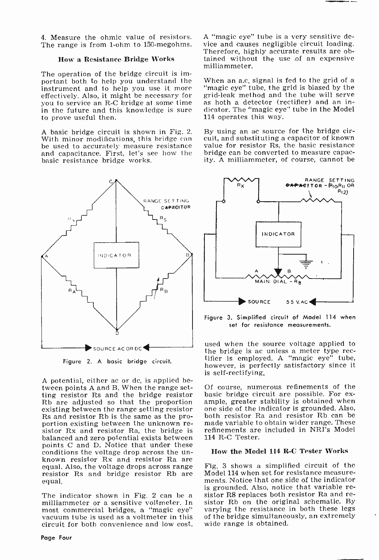4. Measure the ohmic value of resistors. The range is from 1-ohm to 150-megohms.

#### How a Resistance Bridge Works

The operation of the bridge circuit is important both to help you understand the When an a.c. signal is fed to the grid of a instrument and to help you use it more "magic eye" tube, the grid is biased by the effectively. Also, it might be necessary for grid-leak method and the tube will serve you to service an R -C bridge at some time in the future and this knowledge is sure to prove useful then.

A basic bridge circuit is shown in Fig. 2.<br>With minor modifications, this bridge can be used to accurately measure resistance and capacitance. First, let's see how the basic resistance bridge works.



Figure 2. A basic bridge circuit.

A potential, either ac or dc, is applied between points A and B. When the range setting resistor Rs and the bridge resistor basic bridge circuit are possible. For ex-Rb are adjusted so that the proportion ample, greater stability is obtained when existing between the range setting resistor one side of the indicator is grounded. Also, Rs and resistor Rb is the same as the pro-<br>both resi portion existing between the unknown re-<br>sistor Rx and resistor Ra, the bridge is balanced and zero potential exists between points C and D. Notice that under these conditions the voltage drop across the un-<br>known resistor Rx and resistor Ra are<br>equal, Also, the voltage drops across range resistor Rs and bridge resistor Rb are equal.

most commercial bridges, a "magic eye" vacuum tube is used as a voltmeter in this circuit for both convenience and low cost. A "magic eye" tube is a very sensitive device and causes negligible circuit loading. Therefore, highly accurate results are obtained without the use of an expensive milliammeter.

"magic eye" tube, the grid is biased by the as hoth a detector (rectifier) and an indicator. The "magic eye" tube in the Model 114 operates this way.

By using an ac source for the bridge circuit, and substituting a capacitor of known value for resistor Rs, the basic resistance bridge can be converted to measure capacity. A milliammeter, of course, cannot be



Figure 3. Simplified circuit of Model 114 when<br>set for resistance measurements.

used when the source voltage applied to<br>the bridge is ac unless a meter type rectifier is employed. A "magic eye" tube, however, is perfectly satisfactory since it is self-rectifying.

Of course, numerous refinements of the ample, greater stability is obtained when both resistor Ra and resistor Rb can be made variable to obtain wider range. These refinements are included in NRI's Model 114 R-C Tester.

#### How the Model 114 R-C Tester Works

The indicator shown in Fig. 2 can be a sistor R8 replaces both resistor Ra and re-<br>milliammeter or a sensitive voltmeter. In sistor Rb on the original schematic. By Fig. 3 shows a simplified circuit of the Model 114 when set for resistance measurements. Notice that one side of the indicator<br>is grounded. Also, notice that variable resistor R8 replaces both resistor Ra and revarying the resistance in both these legs of the bridge simultaneously, an extremely wide range is obtained.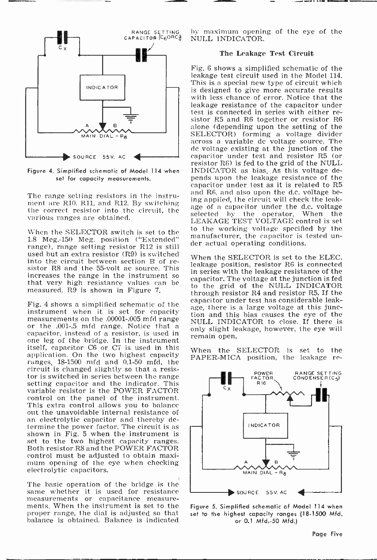

Figure 4. Simplified schematic of Model 114 when set for capacity measurements.

The range setting resistors in the instru-<br>ment are R10, R11, and R12, By switching ment are R10, R11, and R12. By switching the correct resistor into the circuit, the correct resistor into the circuit, the correction of the correct  $\mathbf{H}$ various ranges are obtained.

When the SELECTOR switch is set to the 1.8 Meg.-150 Meg. position ("Extended" inditional teachers for expaction is<br>range), range setting resistor R12 is still der actual operating conditions. used but an extra resistor (R9) is switched<br>into the circuit between section B of resistor R8 and the 55-volt ac source. This increases the range in the instrument so that very high resistance values can be measured. R9 is shown in Figure 7.

instrument when it is set for capacity<br>measurements on the 00001-005 mfd range or the .001-.5 mfd range. Notice that a capacitor, instead of a resistor, is used in one leg of the bridge. In the instrument itself, capacitor C6 or C7 is used in this application. On the two highest capacity ranges, 18-1500 mfd and 0.1-50 mfd, the circuit is changed slightly so that a resissetting capacitor and the indicator. This variable resistor is the POWER FACTOR control on the panel of the instrument. This extra control allows you to balance an electrolytic capacitor and thereby determine the power factor. The circuit is as shown in Fig. 5 when the instrument is set to the two highest capacity ranges. Both resistor R8 and the POWER FACTOR mum opening of the eye when checking<br>electrolytic capacitors.

The basic operation of the bridge is the same whether it is used for resistance measurements or capacitance measurements. When the instrument is set to the proper range, the dial is adjusted so that balance is obtained, Balance is indicated

by maximum opening of the eye of the NULL INDICATOR.

#### The Leakage Test Circuit

Fig. 6 shows a simplified schematic of the leakage test circuit used in the Model 114. This is a special new type of circuit which is designed to give more accurate results with less chance of error. Notice that the leakage resistance of the capacitor under test is connected in series with either re- sistor R5 and R6 together or resistor R6 alone (depending upon the setting of the SELECTOR) forming a voltage divider across a variable do voltage source. The de voltage existing at the junction of the<br>capacitor under test and resistor R5 (or resistor R6) is fed to the grid of the NULL INDICATOR as bias. As this voltage depends upon the leakage resistance of the capacitor under test as it is related to R5 and R6, and also upon the d.c. voltage being appiled, the circuit will check the leakselected by the operator. When the LEAKAGE TEST VOLTAGE control is set to the working voltage specified by the manufacturer, the capacitor is tested un-

Fig. 4 shows a simplified schematic of the age, there is a large voltage at this junc-When the SELECTOR is set to the ELEC. leakage position, resistor R6 is connected in series with the leakage resistance of the capacitor. The voltage at the junction is fed to the grid of the NULL INDICATOR through resistor R4 and resistor R5. If the capacitor under test has considerable leaktion and this bias causes the eye of the NULL INDICATOR to close. If there is only slight leakage, however, the eye will remain open.

> When the SELECTOR is set to the PAPER-MICA position, the leakage re-



Figure 5. Simplified schematic of Model 114 when set to the highest capacity ranges (18-1500 Mfd. or 0.1 Mfd.-50 Mfd.)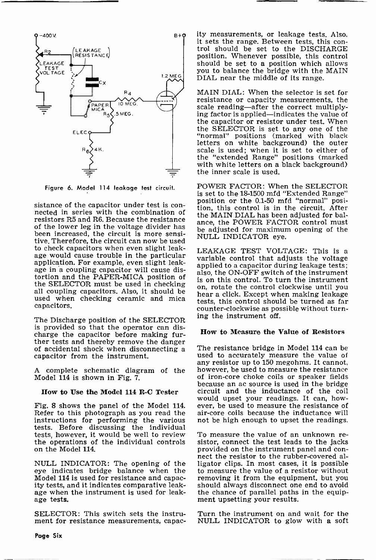

Figure 6. Model 114 leakage test circuit.

resistors R5 and R6. Because the resistance of the lower leg in the voltage divider has been increased, the circuit is more sensitive. Therefore, the circuit can now be used to check capacitors when even slight leakapplication. For example, even slight leakage in a coupling capacitor will cause distortion and the PAPER-MICA position of<br>the SELECTOR must be used in checking all coupling capacitors. Also, it should be also, it should control clockwise until you used when checking ceramic and mica capacitors.

The Discharge position of the SELECTOR is provided so that the operator can discharge the capacitor before making further tests and thereby remove the danger of accidental shock when disconnecting a capacitor from the instrument.

A complete schematic diagram of the Model 114 is shown in Fig. 7.

#### How to Use the Model 114 R-C Tester

Fig. 8 shows the panel of the Model 114. Refer to this photograph as you read the instructions for performing the various tests. Before discussing the individual<br>tests, however, it would be well to review To measure the value of an unknown retests, however, it would be well to review To measure the value of an unknown re-<br>the operations of the individual controls sistor, connect the test leads to the jacks the operations of the individual controls on the Model 114.

NULL INDICATOR: The opening of the eye indicates bridge balance when the Model 114 is used for resistance and capac- ity tests, and it indicates comparative leakage when the instrument is used for leakage tests.

SELECTOR: This switch sets the instrument for resistance measurements, capacity measurements, or leakage tests. Also, it sets the range. Between tests, this con- trol should be set to the DISCHARGE position. Whenever possible, this control should be set to a position which allows you to balance the bridge with the MAIN DIAL near the middle of its range.

MAIN DIAL: When the selector is set for resistance or capacity measurements, the scale reading-after the correct multiply- ing factor is applied-indicates the value of the capacitor or resistor under test. When the SELECTOR is set to any one of the "normal" positions (marked with black letters on white background) the outer scale is used; when it is set to either of the "extended Range" positions (marked with white letters on a black background) the inner scale is used.

sistance of the capacitor under test is con-<br>nected in series with the combination of  $\frac{1}{2}$  the combination of  $\frac{1}{2}$  the component of  $\frac{1}{2}$  in the combination of  $\frac{1}{2}$  in  $\frac{1}{2}$  is a component of  $\frac{1}{$ POWER FACTOR: When the SELECTOR<br>is set to the 18-1500 mfd "Extended Range" tion, this control is in the circuit. After the MAIN DIAL has been adjusted for balance, the POWER FACTOR control must be adjusted for maximum opening of the NULL INDICATOR eye.

> LEAKAGE TEST VOLTAGE: This is a variable control that adjusts the voltage applied to a capacitor during leakage tests; also, the ON-OFF switch of the instrument is on this control. To turn the instrument on, rotate the control clockwise until you tests, this control should be turned as far counter -clockwise as possible without turning the instrument off.

#### How to Measure the Value of Resistors

The resistance bridge in Model 114 can be used to accurately measure the value of any resistor up to 150 megohms. It cannot, however, be used to measure the resistance of iron-core choke coils or speaker fields<br>because an ac source is used in the bridge circuit and the inductance of the coil would upset your readings. It can, however, be used to measure the resistance of air -core coils because the inductance will not be high enough to upset the readings.

provided on the instrument panel and connect the resistor to the rubber-covered alligator clips. In most cases, it is possible to measure the value of a resistor without removing it from the equipment, but you should always disconnect one end to avoid the chance of parallel paths in the equipment upsetting your results.

Turn the instrument on and wait for the NULL INDICATOR to glow with a soft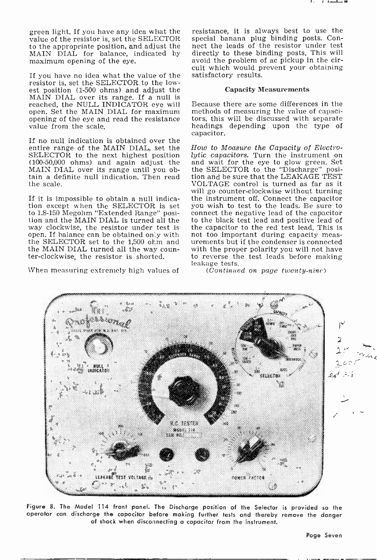green light. If you have any idea what the value of the resistor is, set the SELECTOR to the appropriate position, and adjust the MAIN DIAL for balance, indicated by maximum opening of the eye.

If you have no idea what the value of the resistor is, set the SELECTOR to the lowest position (1-500 ohms) and adjust the MAIN DIAL over its range. If a null is reached, the NULL INDICATOR eye will open. Set the MAIN DIAL for maximum opening of the eye and read the resistance value from the scale.

If no null indication is obtained over the entire range of the MAIN DIAL, set the SELECTOR to the next highest position (100-50,000 ohms) and again adjust the MAIN DIAL over its range until you obtain a definite null indication. Then read the scale.

If it is impossible to obtain a null indication except when the SELECTOR is set to 1.8-150 Megohm "Extended Range" posi- tion and the MAIN DIAL is turned all the tion and the MAIN DIAL is turned all the way clockwise, the resistor under test is open. If balance can be obtained only with the SELECTOR set to the 1,500 ohm and the MAIN DIAL turned all the way counter-clockwise, the resistor is shorted.

When measuring extremely high values of

resistance, it is always best to use the special banana plug binding posts. Connect the leads of the resistor under test directly to these binding posts. This will avoid the problem of ac pickup in the circuit which would prevent your obtaining satisfactory results.

#### Capacity Measurements

Because there are some differences in the methods of measuring the value of capaciheadings depending upon the type of capacitor.

How to Measure the Capacity of Electro-<br>lutic capacitors. Turn the instrument on and wait for the eye to glow green. Set the SELECTOR to the "Discharge" posi- tion and be sure that the LEAKAGE TEST VOLTAGE control is turned as far as it the instrument off. Connect the capacitor you wish to test to the leads. Be sure to connect the negative lead of the capacitor to the black test lead and positive lead of the capacitor to the red test lead. This is<br>not too important during capacity measurements but if the condenser is connected with the proper polarity you will not have to reverse the test leads before making leakage tests.

(Continued on page twenty-nine)

607 SELECTOR R.C. TESTER 9601, 114  $40^\circ$ JF LA TARE & FOWER PACTO

Figure 8. The Model 114 front panel. The Discharge position of the Selector is provided so the operator can discharge the capacitor before making further tests and thereby remove the danger of shock when disconnecting a capacitor from the instrument.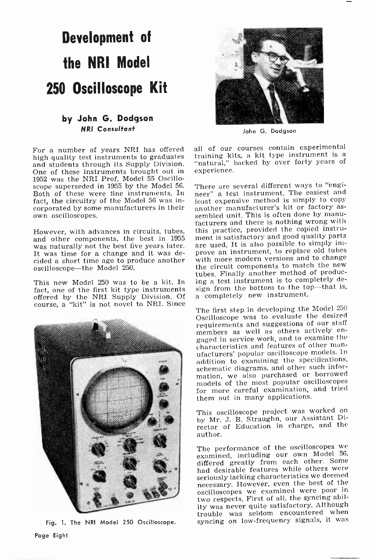# Development of the NRI Model 250 Oscilloscope Kit

#### by John G. Dodgson NRI Consultant

For a number of years NRI has offered all of our courses contain experimental<br>high quality test instruments to graduates training kits, a kit type instrument is a high quality test instruments to graduates and students through its Supply Division. One of these instruments brought out in 1952 was the NRI Prof. Model 55 Oscilloscope superseded in 1955 by the Model 56. Both of these were fine instruments. In fact, the circuitry of the Model 56 was incorporated by some manufacturers in their own oscilloscopes.

However, with advances in circuits, tubes, and other components, the best in 1955 was naturally not the best five years later. It was time for a change and it was decided a short time ago to produce another with more modern versions and to change<br>oscilloscope—the Model 250. the circuit components to match the new oscilloscope-the Model 250.

This new Model 250 was to be a kit. In fact, one of the first kit type instruments sign from the bottom to the to<br>offered by the NRI Supply Division. Of a completely new instrument. offered by the NRI Supply Division. Of course, a "kit" is not novel to NRI. Since



Fig. 1. The NRI Model 250 Oscilloscope.



John G. Dodgson

all of our courses contain experimental "natural," backed by over forty years of experience.

There are several different ways to "engineer" a test instrument. The easiest and least expensive method is simply to copy another manufacturer's kit or factory as-<br>sembled unit. This is often done by manu-<br>facturers and there is nothing wrong with this practice, provided the copied instrument is satisfactory and good quality parts are used. It is also possible to simply improve an instrument, to replace old tubes with more modern versions and to change tubes. Finally another method of producing a test instrument is to completely design from the bottom to the top-that is,

The first step in developing the Model <sup>250</sup> Oscilloscope was to evaluate the desired requirements and suggestions of our staff gaged in service work, and to examine the characteristics and features of other man- ufacturers' popular oscilloscope models. In addition to examining the specifications, schematic diagrams, and other such information, we also purchased or borrowed models of the most popular oscilloscopes for more careful examination, and tried them out in many applications.

This oscilloscope project was worked on by Mr. J. B. Straughn, our Assistant Director of Education in charge, and the author.

The performance of the oscilloscopes we examined, including our own Model 56, differed greatly from each other. Some<br>had desirable features while others were seriously lacking characteristics we deemed necessary. However, even the best of the oscilloscopes we examined were poor in two respects. First of all, the syncing ability was never quite satisfactory. Although trouble was seldom encountered when syncing on low -frequency signals, it was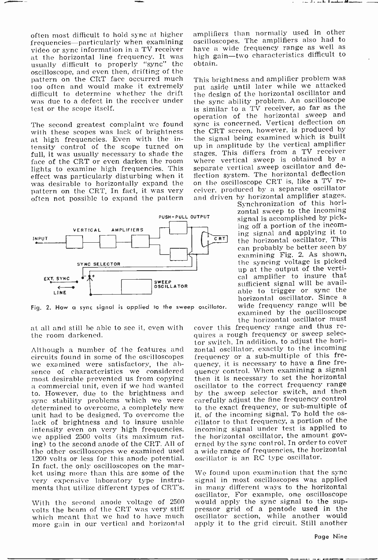المقصد والزر

often most difficult to hold sync at higher frequencies—particularly when examining oscilloscopes. The amplifiers also had to<br>video or sync information in a TV receiver have a wide frequency range as well as video or sync information in a TV receiver<br>at the horizontal line frequency. It was usually difficult to properly "sync" the oscilloscope, and even then, drifting of the<br>pattern on the CRT face occurred much This brightness and amplifier problem was pattern on the CRT face occurred much too often and would make it extremely<br>difficult to determine whether the drift was due to a defect in the receiver under test or the scope itself.

with these scopes was lack of brightness at high frequencies. Even with the intensity control of the scope turned on up in amplitude by the vertical amplifier<br>full, it was usually necessary to shade the stages. This differs from a TV receiver<br>face of the CRT or even darken the room where vertical sw face of the CRT or even darken the room where vertical sweep is obtained by a lights to examine high frequencies. This separate vertical sweep oscillator and de-<br>effect was particularly disturbing when it flection system. was desirable to horizontally expand the on the oscilloscope CRT is, like a TV re-<br>pattern on the CRT In fact, it was very ceiver, produced by a separate oscillator pattern on the CRT. In fact, it was very often not possible to expand the pattern



Fig. 2. How a sync signal is applied to the sweep oscillator.

at all and still be able to see it, even with the room darkened.

Although a number of the features and circuits found in some of the oscilloscopes we examined were satisfactory, the ab- sence of characteristics we considered most desirable prevented us from copying a commercial unit, even if we had wanted to. However, due to the brightness and<br>sync stability problems which we were determined to overcome, a completely new unit had to be designed. To overcome the lack of brightness and to insure usable intensity even on very high frequencies, we applied 2500 volts (its maximum rating) to the second anode of the CRT. All of the other oscilloscopes we examined used 1200 volts or less for this anode potential.<br>In fact, the only oscilloscopes on the mar-<br>ket using more than this are some of the very expensive laboratory type instruments that utilize different types of CRT's.

With the second anode voltage of 2500 volts the beam of the CRT was very stiff more gain in our vertical and horizontal amplifiers than normally used in other oscilloscopes. The amplifiers also had to high gain-two characteristics difficult to obtain.

The second greatest complaint we found sync is concerned. Vertical deflection on with these scopes was lack of brightness the CRT screen, however, is produced by put aside until later while we attacked the design of the horizontal oscillator and the sync ability problem. An oscilloscope is similar to a TV receiver, so far as the operation of the horizontal sweep and sync is concerned. Vertical deflection on<br>the CRT screen, however, is produced by the signal being examined which is built up in amplitude by the vertical amplifier stages. This differs from a TV receiver separate vertical sweep oscillator and deon the oscilloscope CRT is, like a TV reand driven by horizontal amplifier stages.

Synchronization of this horizontal sweep to the incoming signal is accomplished by picking off a portion of the incoming signal and applying it to the horizontal oscillator. This can probably be better seen by examining Fig. 2. As shown, the syncing voltage is picked up at the output of the vertical amplifier to insure that sufficient signal will be available to trigger or sync the<br>horizontal oscillator. Since a wide frequency range will be examined by the oscilloscope<br>the horizontal oscillator must

cover this frequency range and thus re-<br>quires a rough frequency or sweep selector switch. In addition, to adjust the horizontal oscillator, exactly to the incoming frequency or a sub-multiple of this frequency, it is necessary to have a fine frequency control. When examining a signal then it is necessary to set the horizontal oscillator to the correct frequency range by the sweep selector switch, and then carefully adjust the fine frequency control to the exact frequency, or sub -multiple of it, of the incoming signal. To hold the os- cillator to that frequency, a portion of the incoming signal under test is applied to the horizontal oscillator, the amount gov-<br>erned by the sync control. In order to cover a wide range of frequencies, the horizontal oscillator is an RC type oscillator.

We found upon examination that the sync signal in most oscilloscopes was applied in many different ways to the horizontal oscillator. For example, one oscilloscope would apply the sync signal to the suppressor grid of a pentode used in the oscillator section, while another would apply it to the grid circuit. Still another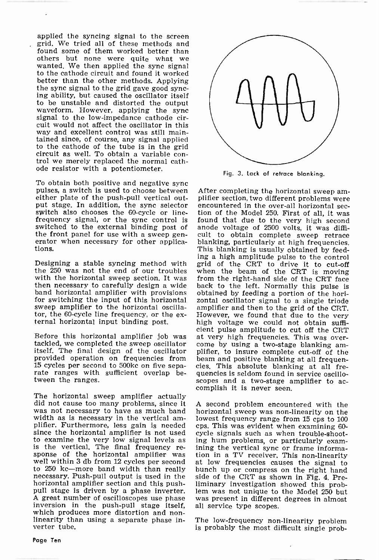applied the syncing signal to the screen grid. We tried all of these methods and found some of them worked better than others but none were quite what we wanted. We then applied the sync signal to the cathode circuit and found it worked better than the other methods. Applying the sync signal to the grid gave good sync-<br>ing ability, but caused the oscillator itself<br>to be unstable and distorted the output waveform. However, applying the sync<br>signal to the low-impedance cathode circuit would not affect the oscillator in this way and excellent control was still maintained since, of course, any signal applied to the cathode of the tube is in the grid circuit as well. To obtain a variable con- trol we merely replaced the normal cathode resistor with a potentiometer.

To obtain both positive and negative sync<br>pulses, a switch is used to choose between After completing the horizontal sweep am-<br>either plate of the push-pull vertical out-<br>plifier section, two different problems were either plate of the push-pull vertical output stage. In addition, the sync selector encountered in the over-all horizontal sec-<br>switch also chooses the 60-cycle or line- tion of the Model 250. First of all, it was frequency signal, or the sync control is found that due to the very high second switched to the external binding post of the front panel for use with a sweep generator when necessary for other applica-<br>tions.

Designing a stable syncing method with the 250 was not the end of our troubles when the beam of the CRT is moving with the horizontal sweep section. It was from the right-hand side of the CRT face with the horizontal sweep section. It was then necessary to carefully design a wide band horizontal amplifier with provisions for switching the input of this horizontal sweep amplifier to the horizontal oscillator, the 60 -cycle line frequency, or the ex- ternal horizontal input binding post.

Before this horizontal amplifier job was at very high frequencies. This was over-<br>tackled, we completed the sweep oscillator come by using a two-stage blanking amitself. The final design of the oscillator plifier, to insure complete cut-off of the provided operation on frequencies from beam and positive blanking at all frequenprovided operation on frequencies from <sup>15</sup>cycles per second to 500kc on five sepa- rate ranges with sufficient overlap between the ranges.

The horizontal sweep amplifier actually did not cause too many problems, since it was not necessary to have as much band width as is necessary in the vertical am-<br>plifier. Furthermore, less gain is needed cps. This was evident when examining 60since the horizontal amplifier is not used<br>to examine the very low signal levels as to examine the very low signal levels as ing hum problems, or particularly exam-<br>is the vertical. The final frequency re- ining the vertical sync or frame informa-<br>sponse of the horizontal amplifier was tion in a TV receiv to 250 kc-more band width than really necessary. Push-pull output is used in the side of the CRT as shown in Fig. 4. Pre-<br>horizontal amplifier section and this push- liminary investigation showed this probpull stage is driven by a phase inverter. lem was not unique to the Model 250 but<br>A great number of oscilloscopes use phase was present in different degrees in almost inversion in the push-pull stage itself,<br>which produces more distortion and non-<br>linearity than using a separate phase inverter tube.



Fig. 3. Lack of retrace blanking.

tion of the Model 250. First of all, it was anode voltage of 2500 volts, it was difficult to obtain complete sweep retrace<br>blanking, particularly at high frequencies. This blanking is usually obtained by feeding a high amplitude pulse to the control grid of the CRT to drive it to cut-off when the beam of the CRT is moving back to the left. Normally this pulse is obtained by feeding a portion of the horizontal oscillator signal to a single triode amplifier and then to the grid of the CRT. high voltage we could not obtain sufficient pulse amplitude to cut off the CRT plifier, to insure complete cut-off of the cies. This absolute blanking at all frequencies is seldom found in service oscilloscopes and a two-stage amplifier to accomplish it is never seen,

A second problem encountered with the horizontal sweep was non-linearity on the lowest frequency range from 15 cps to 100 cycle signals such as when trouble-shootining the vertical sync or frame informaat low frequencies causes the signal to bunch up or compress on the right hand side of the CRT as shown in Fig. 4. Prewas present in different degrees in almost all service type scopes.

The low-frequency non-linearity problem is probably the most difficult single prob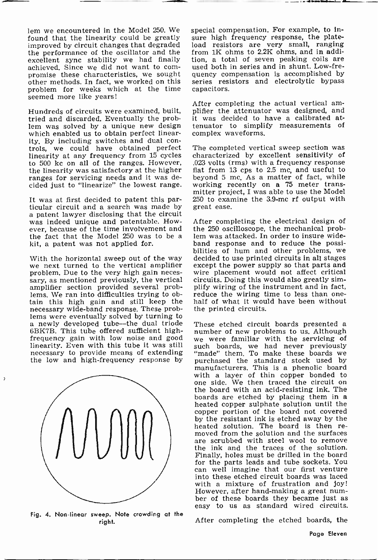found that the linearity could be greatly improved by circuit changes that degraded the performance of the oscillator and the excellent sync stability we had finally achieved. Since we did not want to com- promise these characteristics, we sought promise these characteristics, we sought<br>other methods. In fact, we worked on this problem for weeks which at the time seemed more like years!

Hundreds of circuits were examined, built, tried and discarded. Eventually the problem was solved by a unique new design which enabled us to obtain perfect linear-<br>ity. By including switches and dual controls, we could have obtained perfect The completed vertical sweep section was linearity at any frequency from 15 cycles characterized by excellent sensitivity of to 500 kc on all of the ranges. However, the linearity was satisfactory at the higher ranges for servicing needs and it was decided just to "linearize" the lowest range.

It was at first decided to patent this par- ticular circuit and a search was made by a patent lawyer disclosing that the circuit was indeed unique and patentable. However, because of the time involvement and the 250 oscilloscope, the mechanical prob-<br>the fact that the Model 250 was to be a lem was attacked. In order to insure widethe fact that the Model 250 was to be a kit, a patent was not applied for.

amplifier section provided several problems. We ran into difficulties trying to obtain this high gain and still keep the necessary wide-band response. These prob-<br>lems were eventually solved by turning to<br>a newly developed tube-the dual triode<br>6BK7B. This tube offered sufficient high-<br>number of new problems to us. Although frequency gain with low noise and good we were familiar with the servicing of linearity. Even with this tube it was still such boards, we had never previously necessary to provide means of extending "made" them. To make th



 $\overline{\phantom{a}}$ 

Fig. 4. Non-linear sweep. Note crowding at the right.

lem we encountered in the Model 250. We special compensation. For example, to informed that the linearity could be greatly sure high frequency response, the platespecial compensation. For example, to insure high frequency response, the plate-<br>load resistors are very small, ranging from 1K ohms to 2.2K ohms, and in addition, a total of seven peaking coils are used both in series and in shunt. Low -frequency compensation is accomplished by series resistors and electrolytic bypass capacitors.

> After completing the actual vertical am- plifier the attenuator was designed, and it was decided to have a calibrated attenuator to simplify measurements of complex waveforms.

> The completed vertical sweep section was .023 volts (rms) with a frequency response flat from 13 cps to 2.5 mc, and useful to beyond 5 mc. As a matter of fact, while working recently on a 75 meter transmitter project, I was able to use the Model 250 to examine the 3.9 -mc rf output with great ease.

With the horizontal sweep out of the way decided to use printed circuits in all stages we next turned to the vertical amplifier except the power supply so that parts and problem. Due to the very high gain neces- wire place After completing the electrical design of the 250 oscilloscope, the mechanical probband response and to reduce the possiexcept the power supply so that parts and wire placement would not affect critical circuits. Doing this would also greatly simplify wiring of the instrument and in fact, reduce the wiring time to less than onehalf of what it would have been without the printed circuits.

necessary to provide means of extending "made" them. To make these boards we<br>the low and high-frequency response by purchased the standard stock used by<br>manufacturers. This is a phenolic board number of new problems to us. Although such boards, we had never previously "made" them. To make these boards we purchased by manufacturers. This is a phenolic board with a layer of thin copper bonded to one side. We then traced the circuit on<br>the board with an acid-resisting ink. The boards are etched by placing them in a heated copper sulphate solution until the copper portion of the board not covered by the resistant ink is etched away by the heated solution. The board is then re- moved from the solution and the surfaces are scrubbed with steel wool to remove the ink and the traces of the solution. Finally, holes must be drilled in the board for the parts leads and tube sockets. You can well imagine that our first venture into these etched circuit boards was laced with a mixture of frustration and joy!<br>However, after hand-making a great number of these boards they became just as easy to us as standard wired circuits.

After completing the etched boards, the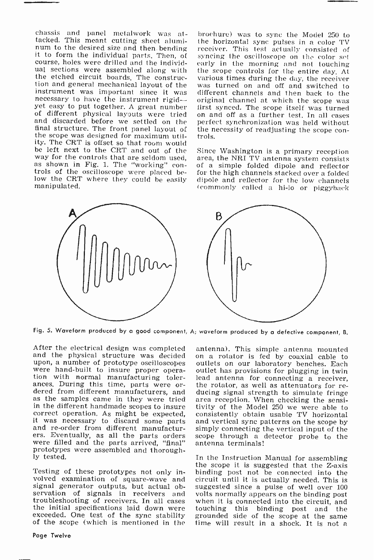chassis and panel metalwork was at-<br>tacked. This meant cutting sheet alumi-<br>num to the desired size and then bending<br>it to form the individual parts. Then, of course, holes were drilled and the individthe etched circuit boards. The construc-<br>tion and general mechanical layout of the tion and general mechanical layout of the instrument was important since it was different channels and then back to the necessary to have the instrument rigid— original channel at which the scope was yet easy to put togeth of different physical layouts were tried on and off as a further test. In all cases<br>and discarded before we settled on the perfect synchronization was held without and discarded before we settled on the the scope was designed for maximum utility. The CRT is offset so that room would be left next to the CRT and out of the<br>way for the controls that are seldom used, as shown in Fig. 1. The "working" con-<br>trols of the oscilloscope were placed below the CRT where they could be easily manipulated.

brochure) was to sync the Model 250 to the horizontal sync pulses in a color TV receiver. This test actually consisted of syncing the oscilloscope on the color set early in the morning and not touching the scope controls for the entire day. At various times during the day, the receiver different channels and then back to the first synced. The scope itself was turned the necessity of readjusting the scope con-<br>trols.

Since Washington is a primary reception area, the NRI TV antenna system consists of a simple folded dipole and reflector for the high channels stacked over a folded dipole and reflector for the low channels (commonly called a hi-lo or piggyback



Fig. 5. Waveform produced by a good component, A; waveform produced by a defective component, B.

After the electrical design was completed antenna). This simple antenna mounted<br>and the physical structure was decided on a rotator is fed by coaxial cable to<br>upon, a number of prototype oscilloscopes outlets on our labora were hand-built to insure proper opera-<br>toullet has provisions for plugging in twin-<br>tion with normal manufacturing toler-<br>lead antenna for connecting a receiver,<br>ances. During this time, parts were or-<br>the rotator, as wel in the different handmade scopes to insure<br>correct operation. As might be expected, correct operation. As might be expected, continuous mand re-order from different manufactur- sines. Eventually, as all the parts orders scolere filled and the parts arrived, "final" ant prototypes were assembled and thorough-ly tested.

Testing of these prototypes not only involved examination of square -wave and signal generator outputs, but actual observation of signals in receivers and volts normally appears on the binding post troubleshooting of receivers. In all cases when it is connected into the circuit, and the initial specifications laid down were touching this binding post and the seceeded. One test of the sync stability grounded side of t

antenna). This simple antenna mounted outlets on our laboratory benches. Each outlet has provisions for plugging in twin the rotator, as well as attenuators for rearea reception. When checking the sensitivity of the Model 250 we were able to consistently obtain usable TV horizontal simply connecting the vertical input of the scope through a detector probe to the antenna terminals!

In the Instruction Manual for assembling the scope it is suggested that the Z-axis binding post not be connected into the circuit until it is actually needed. This is suggested since a pulse of well over 100 when it is connected into the circuit, and touching this binding post and the grounded side of the scope at the same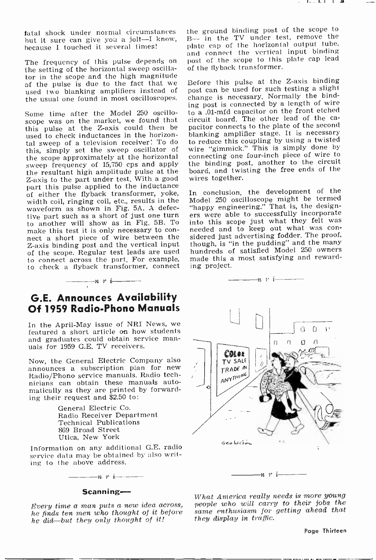fatal shock under normal circumstances hut it sure can give you a jolt-I know, because I touched it several times!

The frequency of this pulse depends on the setting of the horizontal sweep oscillator in the scope and the high magnitude<br>of the pulse is due to the fact that we used two blanking amplifiers instead of the usual one found in most oscilloscopes.

Some time after the Model 250 oscillosome time arter the model 250 oscillor to a heart and the cathis pulse at the Z-axis could then be used to check inductances in the horizontal sweep of a television receiver! To do this, simply set the sweep oscillator of the scope approximately at the horizontal sweep frequency of 15,750 cps and apply the resultant high amplitude pulse at the Z-axis to the part under test. With a good part this pulse applied to the inductance of either the flyback transformer, yoke, width coil, ringing coil, etc., results in the Model 250 oscilloscope might be termed<br>waveform as shown in Fig. 5A. A defec- "happy engineering." That is, the designwaveform as shown in Fig. 5A. A defec-<br>tive part such as a short of just one turn ers to another will show as in Fig. 5B. To into this scope just what they felt was make this test it is only necessary to con- needed and to keep out what was connect a short piece of wire between the Z-axis binding post and the vertical input though, is "in the pudding" and the many of the scope. Regular test leads are used hundreds of satisfied Model 250 owners of the scope. Regular test leads are used to connect across the part. For example, to check a flyback transformer, connect

## G.E. Announces Availability Of 1959 Radio -Phono Manuals

 $\frac{1}{\cdots}$  r i  $\frac{1}{\cdots}$ 

In the April -May issue of NRI News, we featured a short article on how students and graduates could obtain service man- uals for 1959 G.E. TV receivers.

Now, the General Electric Company also Radio/Phono service manuals. Radio technicians can obtain these manuals automatically as they are printed by forwarding their request and \$2.50 to:

> General Electric Co. Radio Receiver Department Technical Publications 869 Broad Street Utica, New York

Information on any additional G.E. radio service data may be obtained by also writing to the above address.

#### Scanning-

 $-n \rightarrow i$ 

he finds ten men who thought of it before he did-but they only thought of it!

the ground binding post of the scope to B- in the TV under test, remove the plate cap of the horizontal output tube, and connect the vertical input binding post of the scope to this plate cap lead of the flyback transformer.

Before this pulse at the Z-axis binding post can be used for such testing a slight change is necessary. Normally the binding post is connected by a length of wire to a .01-mfd capacitor on the front etched pacitor connects to the plate of the second blanking amplifier stage. It is necessary to reduce this coupling by using a twisted wire "gimmick." This is simply done by connecting one four -inch piece of wire to the binding post, another to the circuit board, and twisting the free ends of the wires together.

In conclusion, the development of the Model 250 oscilloscope might be termed ers were able to successfully incorporate sidered just advertising fodder. The proof, though, is "in the pudding" and the many made this a most satisfying and rewarding project.



Every time a man puts a new idea across, people who will carry to their jobs the What America really needs is more young same enthusiasm for getting ahead that they display in traffic.

Page Thirteen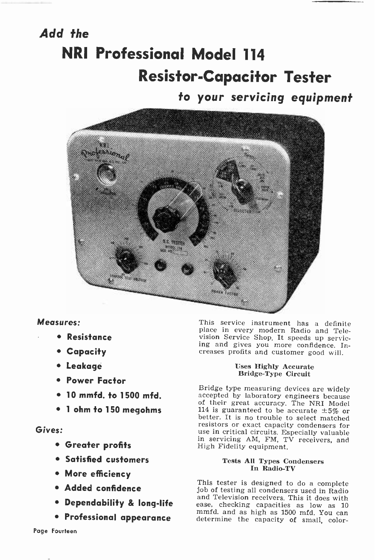# Add the NRI Professional Model 114 Resistor -Capacitor Tester

## to your servicing equipment



#### Measures:

- Resistance
- Capacity
- Leakage
- Power Factor
- 10 mmfd. to 1500 mfd.
- <sup>1</sup>ohm to 150 megohms

#### Gives:

- Greater profits
- Satisfied customers
- More efficiency
- Added confidence
- 
- Professional appearance

This service instrument has a definite place in every modern Radio and Teleing and gives you more confidence. Increases profits and customer good will.

#### Uses Highly Accurate Bridge -Type Circuit

Bridge type measuring devices are widely accepted by laboratory engineers because of their great accuracy. The NRI Model<br>114 is guaranteed to be accurate  $\pm 5\%$  or better. It is no trouble to select matched resistors or exact capacity condensers for use in critical circuits. Especially valuable in servicing AM, FM, TV receivers, and High Fidelity equipment.

#### Tests All Types Condensers In Radio-TV

• **Dependability & long-life** assection receivers, this it does with<br>mund. and as high as 1500 mfd. You as This tester is designed to do a complete job of testing all condensers used in Radio and Television receivers. This it does with ease, checking capacities as low as <sup>10</sup> determine the capacity of small, color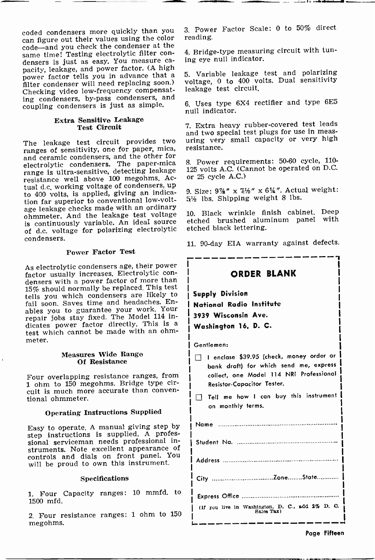coded condensers more quickly than you can figure out their values using the color same time! Testing electrolytic filter con-<br>densers is just as easy. You measure ca-<br>pacity, leakage, and power factor. (A high<br>power factor tells you in advance that a filter condenser will need replacing soon.) Checking video low -frequency compensating condensers, by-pass condensers, and coupling condensers is just as simple.

#### Extra Sensitive Leakage Test Circuit

The leakage test circuit provides two ranges of sensitivity, one for paper, mica, and ceramic condensers, and the other for electrolytic condensers. The paper-mica range is ultra -sensitive, detecting leakage resistance well above 100 megohms. Actual d.c. working voltage of condensers, up to 400 volts, is applied, giving an indication far superior to conventional low -voltage leakage checks made with an ordinary ohmmeter. And the leakage test voltage is continuously variable. An ideal source of d.c. voltage for polarizing electrolytic condensers.

#### Power Factor Test

As electrolytic condensers age, their power<br>factor usually increases. Electrolytic condensers with a power factor of more than 15% should normally be replaced. This test tells you which condensers are likely to fail soon. Saves time and headaches. Enables you to guarantee your work. Your repair jobs stay fixed. The Model 114 indicates power factor directly. This is a test which cannot be made with an ohmmeter.

#### Measures Wide Range Of Resistance

Four overlapping resistance ranges, from 1 ohm to 150 megohms. Bridge type circuit is much more accurate than conven- tional ohmmeter.

#### Operating Instructions Supplied

Easy to operate. A manual giving step by step instructions is supplied. A professional serviceman needs professional instruments. Note excellent appearance of controls and dials on front panel. You will be proud to own this instrument.

#### Specifications

1. Four Capacity ranges: 10 mmfd. to 1500 mfd.

2. Four resistance ranges: 1 ohm to 150 megohms.

3. Power Factor Scale: 0 to 50% direct reading.

. .,L . 1..4 . <sup>Y</sup>

4. Bridge-type measuring circuit with tuning eye null indicator.

5. Variable leakage test and polarizing voltage, 0 to 400 volts. Dual sensitivity leakage test circuit.

6. Uses type 6X4 rectifier and type 6E5 null indicator.

7. Extra heavy rubber-covered test leads<br>and two special test plugs for use in measuring very small capacity or very high resistance.

8. Power requirements: 50-60 cycle, 110- 125 volts A.C. (Cannot be operated on D.C. or 25 cycle A.C.)

9. Size:  $9\%$ " x  $7\frac{1}{2}$ " x  $6\frac{1}{4}$ ". Actual weight:  $5\frac{1}{2}$  lbs. Shipping weight 8 lbs.

10. Black wrinkle finish cabinet. Deep etched brushed aluminum panel with etched black lettering.

11. 90 -day EIA warranty against defects.

ORDER BLANK

Supply Division National Radio Institute 3939 Wisconsin Ave. Washington 16. D. C.

Gentlemen:

- I enclase \$39.95 (check, money order or bank draft) for which send me, express collect, one Model 114 NRI Professional Resistor -Capacitor Tester.
- Tell me how I can buy this instrument on monthly terms.

Page Fifteen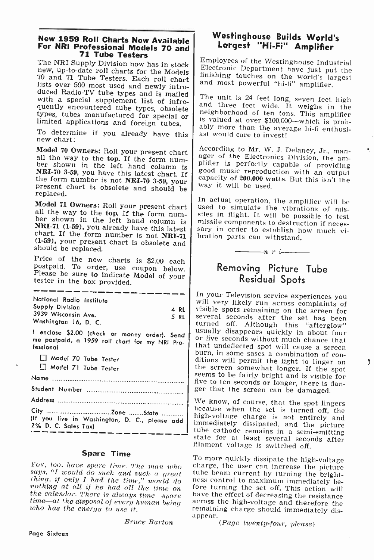# New 1959 Roll Charts Now Available For NRI Professional Models 70 and 71 Tube Testers

new, up-to-date roll charts for the Models | Electronic Department have just put the 70 and 71 Tube Testers. Each roll chart | finishing touches on the world's largest First over 500 most used and newly intro-<br>duced Radio-TV tube types and is mailed<br>with a special supplement list of infre-<br>quently encountered tube types, obsolete<br>types, tubes manufactured for special or<br>types, tubes manu

To determine if you already have this new chart:

Model 70 Owners: Roll your present chart<br>all the way to the top. If the form num-<br>ber shown in the left hand column is<br>NRI-70 3-59, you have this latest chart. If<br>the form number is not NRI-70 3-59, your<br>present chart is o

**Model 71 Owners:** Roll your present chart<br>all the way to the top. If the form num-<br>ber shown in the left hand column is<br> $NRI-71$  (1-59), you already have this latest<br>chart. If the form number is not  $NRI-71$ <br>(1-59), your p

Price of the new charts is \$2.00 each postpaid. To order, use coupon below. Please be sure to indicate Model of your tester in the box provided.

| National Radio Institute |      |  |
|--------------------------|------|--|
| Supply Division          | 4 RL |  |
| 3939 Wisconsin Ave.      | 5 RL |  |
| Washington 16, D. C.     |      |  |
| .                        |      |  |

<sup>I</sup>enclose \$2.00 (check or money order). Send me postpaid, a 1959 roll chart for my NRI Pro- fessional

D Model 70 Tube Tester

Model 71 Tube Tester

Name

Student Number

Address

City Zone State (If you live in Washington, D. C., please add 2% D. C. Sales Tax)

#### Spare Time

thing, if only I had the time," would do<br>nothing at all if he had all the time on<br>the calendar. There is always time—spare<br>time—at the disposal of every human being<br>who has the energy to use it.

Bruce Barton

### Westinghouse Builds World's Largest "Hi-Fi" Amplifier

The NRI Supply Division now has in stock  $\left| \begin{array}{c} \text{Employes of the Westinghouse Industrial} \\ \text{True.} \end{array} \right|$ Electronic Department have just put the

types, the manufactured for special or  $\vert$  is valued at over \$100,000—which is prob-<br>limited applications and foreign tubes. ably more than the average hi-fi enthusi-<br>ast would care to invest!

> According to Mr. W. J. Delaney, Jr., man-<br>ager of the Electronics Division, the am-<br>plifier is perfectly capable of providing<br>good music reproduction with an output<br>capacity of 200,000 watts. But this isn't the way it will be used.

> In actual operation, the amplifier will be<br>used to simulate the vibrations of mis-<br>siles in flight. It will be possible to test<br>missile components to destruction if neces-<br>sary in order to establish how much vibration parts can withstand.<br> $\frac{1}{n}$   $\frac{n}{r}$

## Removing Picture Tube Residual Spots

In your Television service experiences you<br>will very likely run across complaints of<br>visible spots remaining on the screen for<br>several seconds after the set has been<br>turned off. Although this "afterglow"<br>usually disappears ger that the screen can be damaged.

We know, of course, that the spot lingers<br>because when the set is turned off, the<br>high-voltage charge is not entirely and<br>immediately dissipated, and the picture<br>tube cathode remains in a semi-emitting<br>state for at least s

You, too, have spare time. The man who spare the user can increase the picture says, "I would do such and such a great tube beam current by turning the brightness control to maximum immediately be-<br>fore turning the set off. This action will<br>have the effect of decreasing the resistance<br>across the high-voltage and therefore the<br>remaining charge should immediately dis-

 $(Page twenty-four, please)$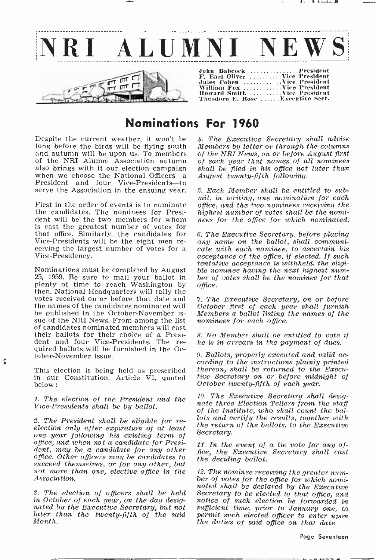

## Nominations For 1960

Despite the current weather, it won't be long before the birds will be flying south and autumn will be upon us. To members of the NRI Alumni Association autumn when we choose the National Officers-a<br>President and four Vice-Presidents-to serve the Association in the ensuing vear.

First in the order of events is to nominate office, and the two nominees receiving the the nomi-<br>the candidates. The nominees for Presi-<br>highest number of votes shall be the nomithe candidates. The nominees for President will be the two members for whom is cast the greatest number of votes for that office. Similarly, the candidates for<br>Vice-Presidents will be the eight men receiving the largest number of votes for a<br>Vice-Presidency.

Nominations must be completed by August 25, 1959. Be sure to mail your ballot in ber of votes shall be the nominee for that plenty of time to reach Washington by then. National Headquarters will tally the votes received on or before that date and the names of the candidates nominated will<br>be published in the October-November issue of the NRI News. From among the list of candidates nominated members will cast their ballots for their choice of a President and four Vice-Presidents. The required ballots will be furnished in the October -November issue.

This election is being held as prescribed in our Constitution, Article VI, quoted below :

1. The election of the President and the Vice -Presidents shall be by ballot.

2. The President shall be eligible for re-<br>election only after expiration of at least<br>one year following his existing term of office, and when not a candidate for President, may be a candidate for any other office. Other officers may be candidates to succeed themselves, or for any other, but<br>not more than one, elective office in the 12. The nominee receiving the greater numnot more than one, elective office in the 12. The nominee receiving the greater num-<br>Association. ber of votes for the office for which nomi-Association.

in October of each year, on the day desig-<br>noted by the Executive Secretary, but not sufficient time, prior to January one, to<br>later than the twenty-fifth of the said permit such elected officer to enter upon later than the twenty-fifth of the said permit such elected officer to enter up<br>Month. the duties of said office on that date. Month.

4. The Executive Secretary shall advise Members by letter or through the columns of the NRI News, on or before August first of each year that names of all nominees shall be filed in his office not later than August twenty-fifth following.

الاستلمام فالمتحاد

5. Each Member shall be entitled to submit, in writing, one nomination for each office, and the two nominees receiving the hees for the office for which nominated.

6. The Executive Secretary, before placing any name on the ballot, shall communicate with each nominee, to ascertain his acceptance of the office, if elected. If such tentative acceptance is withheld, the eligible nominee having the next highest numoffice.

7. The Executive Secretary, on or before October first of each year shall furnish Members a ballot listing the names of the nominees for each office.

8. No Member shall be entitled to vote if he is in arrears in the payment of dues.

9. Ballots, properly executed and valid ac- cording to the instructions plainly printed thereon, shall be returned to the Executive Secretary on or before midnight of October twenty-fifth of each year.

10. The Executive Secretary shall designate three Election Tellers from the staff of the Institute, who shall count the ballots and certify the results, together with the return of the ballots, to the Executive Secretary.

11. In. the event of a tie vote for any office, the Executive Secretary shall cast the deciding ballot.

3. The election of officers shall be held Secretary to be elected to that office, and in October of each year, on the day desig- notice of such election be forwarded in nated shall be declared by the Executive Secretary to be elected to that office, and sufficient time, prior to January one, to

Page Seventeen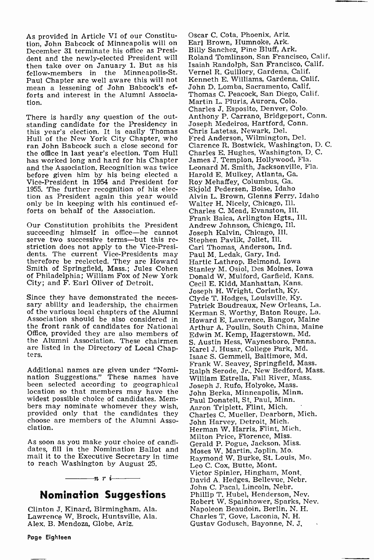As provided in Article VI of our Constitution, John Babcock of Minneapolis will on December 31 terminate his office as President and the newly -elected President will then take over on January 1. But as his fellow-members in the Minneapolis-St. Paul Chapter are well aware this will not mean a lessening of John Babcock's efforts and interest in the Alumni Association.

There is hardly any question of the outstanding candidate for the Presidency in this year's election. It is easily Thomas Hull of the New York City Chapter, who ran John Babcock such a close second for the office in last year's election. Tom Hull has worked long and hard for his Chapter and the Association. Recognition was twice Vice-President in 1954 and President for 1955. The further recognition of his election as President again this year would only be in keeping with his continued efforts on behalf of the Association.

Our Constitution prohibits the President<br>succeeding himself in office—he cannot serve two successive terms---but this restriction does not apply to the Vice-Presi-<br>dents. The current Vice-Presidents may dents. The current Vice-Presidents may Pa<br>therefore be reelected. They are Howard Ha Smith of Springfield, Mass.; Jules Cohen Sta of Philadelphia; William Fox of New York City; and F. Earl Oliver of Detroit.

Since they have demonstrated the neces- sary ability and leadership, the chairmen of the various local chapters of the Alumni Association should be also considered in the front rank of candidates for National Office, provided they are also members of the Alumni Association. These chairmen are listed in the Directory of Local Chap-<br>ters.

Additional names are given under "Nomi-nation Suggestions." These names have been selected according to geographical location so that members may have the widest possible choice of candidates. Mem-<br>bers may nominate whomever they wish, provided only that the candidates they choose are members of the Alumni Association.

As soon as you make your choice of candidates, fill in the Nomination Ballot and mail it to the Executive Secretary in time to reach Washington by August 25.

## $-n r \leftarrow$ Nomination Suggestions

Clinton J. Kinard, Birmingham, Ala. Lawrence W. Brock, Huntsville, Ala. Alex. B. Mendoza, Globe, Ariz.

Earl Brown, Humnoke, Ark. Billy Sanchez, Pine Bluff, Ark. Roland Tomlinson, San Francisco, Calif. Isaiah Randolph, San Francisco, Calif. Vernel R. Guillory, Gardena, Calif. Kenneth E. Williams, Gardena, Calif. John D. Lomba, Sacramento, Calif. Thomas C. Peacock, San Diego, Calif. Martin L. Pluris, Aurora, Colo. Charles J. Esposito, Denver, Colo. Anthony P. Carrano, Bridgeport, Conn. Joseph Medeiros, Hartford, Conn. Chris Latetas, Newark, Del. Fred Anderson, Wilmington, Del. Clarence R. Bostwick, Washington, D. C. Charles E. Hughes, Washington, D. C. James J. Templon, Hollywood, Fla. Leonard M. Smith, Jacksonville, Fla. Harold E. Mulkey, Atlanta, Ga. Roy Mehaffey, Columbus, Ga. Skjold Pedersen, Boise, Idaho Alvin L. Brown, Glenns Ferry, Idaho Walter H. Nicely, Chicago, Ill. Charles C. Mead, Evanston, Ill. Frank Baica, Arlington Hgts., Ill. Andrew Johnson, Chicago, Ill. Joseph Kalvin, Chicago, Ill. Stephen Pavlik, Joliet, Ill. Carl Thomas, Anderson, Ind. Paul M. Ledak, Gary, Ind. Hartic Lathrop, Belmond, Iowa Stanley M. Osiol, Des Moines, Iowa Donald W. Mulford, Garfield, Kans. Cecil E. Kidd, Manhattan, Kans. Joseph H. Wright, Corinth, Ky. Clyde T. Hodges, Louisville, Ky. Patrick Boudreaux, New Orleans, La. Kerman S. Worthy, Baton Rouge, La. Howard E. Lawrence, Bangor, Maine Arthur A. Poulin, South China, Maine Edwin M. Kemp, Hagerstown, Md. S. Austin Hess, Waynesboro, Penna. Karel J. Husar, College Park, Md. Isaac S. Gemmell, Baltimore, Md. Frank W. Seavey, Springfield, Mass. Ralph Serode, Jr., New Bedford, Mass. William Estrella, Fall River, Mass. Joseph J. Rufo, Holyoke, Mass. John Berka, Minneapolis, Minn. Paul Donatell, St. Paul, Minn. Aaron Triplett, Flint, Mich. Charles C. Mueller, Dearborn, Mich. John Harvey, Detroit, Mich. Herman W. Harris, Flint, Mich. Milton Price, Florence, Miss. Gerald P. Pogue, Jackson, Miss. Moses W. Martin, Joplin, Mo. Raymond W. Burke, St. Louis, Mo. Leo C. Cox, Butte, Mont. Victor Spinier, Hingham, Mont. David A. Hedges, Bellevue, Nebr. John C. Pacal, Lincoln, Nebr. Phillip T. Hubel, Henderson, Nev. Robert W. Spainhower, Sparks, Nev. Napoleon Beaudoin, Berlin, N. H. Charles T. Gove, Laconia, N. H. Gustav Godusch? Bayonne, N. J.

Oscar C. Cota, Phoenix, Ariz.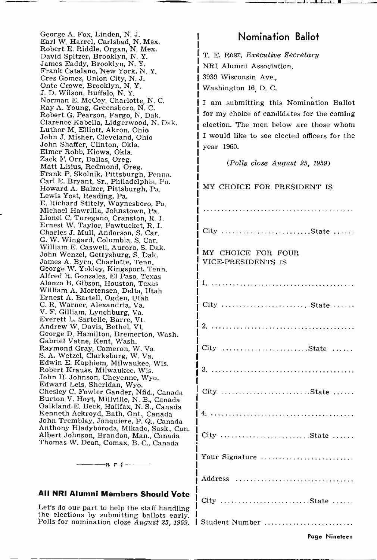George A. Fox, Linden, N. J. Earl W. Harrel, Carlsbad, N. Mex. Robert E. Riddle, Organ, N. Mex. David Spitzer, Brooklyn, N. Y. James Eaddy, Brooklyn, N.Y. Frank Catalano, New York, N. Y. Cres Gomez, Union City, N. J. Onte Crowe, Brooklyn, N. Y. J. D. Wilson, Buffalo, N. Y. Norman E. McCoy, Charlotte, N. C. Ray A. Young, Greensboro, N. C. Robert G. Pearson, Fargo, N. Dak. Clarence Kabella, Lidgerwood, N. Dak. Luther M. Elliott, Akron, Ohio John J. Misher, Cleveland, Ohio

John Shaffer, Clinton, Okla. Elmer Robb, Kiowa, Okla. Matt Lisius, Redmond, Oreg.<br>Frank P. Skolnik, Pittsburgh, Penna. Carl E. Bryant, Sr., Philadelphia, Pa. Howard A. Balzer, Pittsburgh, Pa. Lewis Yost, Reading, Pa. E. Richard Stitely, Waynesboro, Pa. Michael Hawrilla, Johnstown, Pa. Lionel C. Turegano, Cranston, R. I. Ernest W. Taylor, Pawtucket, R. I. Charles J. Mull, Anderson, S. Car. G. W. Wingard, Columbia, S. Car. William E. Caswell, Aurora, S. Dak. John Wenzel, Gettysburg, S. Dak. James A. Byrn, Charlotte, Tenn. George W. Yokley, Kingsport, Tenn. Alfred R. Gonzales, El Paso, Texas Alonzo B. Gibson, Houston, Texas William A. Mortensen, Delta, Utah Ernest A. Bartell, Ogden, Utah C. R. Warner, Alexandria, Va. V. F. Gilliam, Lynchburg, Va. Everett L. Sartelle, Barre, Vt. Andrew W. Davis, Bethel, Vt. George D. Hamilton, Bremerton, Wash. Gabriel Vatne, Kent, Wash. Raymond Gray, Cameron, W. Va. S. A. Wetzel, Clarksburg, W. Va. Edwin E. Kaphiem, Milwaukee, Wis. Robert Krauss, Milwaukee, Wis. John H. Johnson, Cheyenne, Wyo. Edward Leis, Sheridan, Wyo. Chesley C. Fowler Gander, Nfld., Canada Burton V. Hoyt, Millville, N. B., Canada Oalkland E. Beck, Halifax, N. S., Canada Kenneth Ackroyd, Bath, Ont., Canada John Tremblay, Jonquiere, P. Q., Canada Anthony Hladyboroda, Mikado, Sask., Can. Albert Johnson, Brandon, Man., Canada Thomas W. Dean, Comax, B. C., Canada

#### All NRI Alumni Members Should Vote

 $\frac{-n}{r}$   $\frac{r}{t}$ 

Let's do our part to help the staff handling<br>the elections by submitting ballots early.<br>Polls for nomination close August 25, 1959.

## Nomination Ballot

T. E. Ross, Executive Secretary NRI Alumni Association, 3939 Wisconsin Ave., Washington 16, D. C.

I am submitting this Nomination Ballot for my choice of candidates for the coming election. The men below are those whom I would like to see elected officers for the year 1960.

(Polls close August 25, 1959)

| MY CHOICE FOR PRESIDENT IS               |
|------------------------------------------|
|                                          |
| City State                               |
| MY CHOICE FOR FOUR<br>VICE-PRESIDENTS IS |
|                                          |
| City State                               |
|                                          |
| City State                               |
|                                          |
| City State                               |
|                                          |
| City State                               |
| Your Signature                           |
| Address                                  |
| City State                               |
| Student Number                           |

Page Nineteen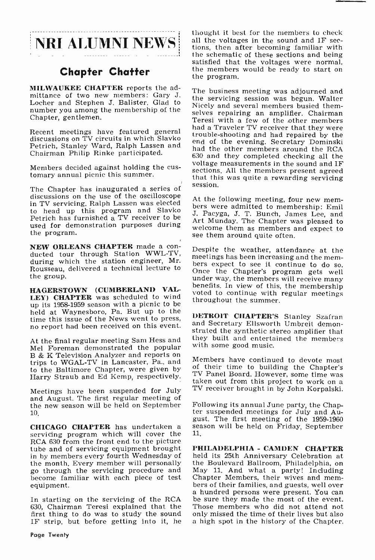## Chapter Chatter

MILWAUKEE CHAPTER reports the admittance pf two new members: Gary J. Locher and Stephen J. Balister. Glad to number you among the membership of the Chapter, gentlemen.

Recent meetings have featured general discussions on TV circuits in which Slavko and a 11 aveter 1 v receiver that they were Petrich, Stanley Ward, Ralph Lassen and Chairman Philip Rinke participated.

Members decided against holding the cus- tomary annual picnic this summer.

The Chapter has inaugurated a series of session. discussions on the use of the oscilloscope<br>At the following meeting, four new memin TV servicing. Ralph Lassen was elected to head up this program and Slavko Petrich has furnished a TV receiver to be used for demonstration purposes during the program.

NEW ORLEANS CHAPTER made a con-<br>ducted tour through Station WWL-TV, meetings has been increasing and the memduring which the station engineer, Mr.<br>Rousseau, delivered a technical lecture to once the Chapter's program gets well Rousseau, delivered a technical lecture to the group.

HAGERSTOWN (CUMBERLAND VAL-**HAGERSTOWN (CUMBERLAND VALE** voted to continue with regular meetings LEY) **CHAPTER** was scheduled to wind throughout the summer. up its 1958-1959 season with a picnic to be held at Waynesboro, Pa. But up to the time this issue of the News went to press, no report had been received on this event.

At the final regular meeting Sam Hess and Mel Foreman demonstrated the popular<br>B & K Television Analyzer and reports on B & K Television Analyzer and reports on<br>trips to WGAL-TV in Lancaster, Pa., and to the Baltimore Chapter, were given by  $\sigma$ <sup>ot</sup>

and August. The first regular meeting of<br>the new season will be held on September Following its annual June party, the Chapthe new season will be held on September 10.

**CHICAGO CHAPTER** has undertaken a season will be held on Friday, September servicing program which will cover the  $11$ .<br>RCA 630 from the front end to the picture tube and of servicing equipment brought in by members every fourth Wednesday of held its 25th Anniversary Celebration at the month, Every member will personally the Boulevard Ballroom, Philadelphia, on the month. Every member will personally the Boulevard Ballroom, Philadelphia, on go through the servicing procedure and May 11. And what a party! Including go through the servicing procedure and become familiar with each piece of test<br>consecution bers of their families, and guests, well over<br>bers of their families, and guests, well over equipment.

630, Chairman Teresi explained that the Those members who did not attend not first thing to do was to study the sound only missed the time of their lives but also first thing to do was to study the sound IF strip, but before getting into it, he

**NRI ALUMNI NEWS** all the voltages in the sound and IF sec-<br>tions, then after becoming familiar with<br>the schematic of these sections and being thought it best for the members to check all the voltages in the sound and IF secsatisfied that the voltages were normal, the members would be ready to start on the program.

> The business meeting was adjourned and the servicing session was begun. Walter Nicely and several members busied themselves repairing an amplifier. Chairman Teresi with a few of the other members had a Traveler TV receiver that they were end of the evening. Secretary Dominski had the other members around the RCA 630 and they completed checking all the voltage measurements in the sound and IF<br>sections. All the members present agreed that this was quite a rewarding servicing

> bers were admitted to membership: Emil J. Pacyga, J. T. Bunch, James Lee, and Art Munday. The Chapter was pleased to welcome them as members and expect to see them around quite often.

> under way, the members will receive many<br>benefits. In view of this, the membership<br>voted to continue with regular meetings<br>throughout the summer.<br>**DETROIT CHAPTER'S** Stanley Szafran

and Secretary Ellsworth Umbreit demonstrated the synthetic stereo amplifier that they built and entertained the members with some good music.

to the Bartimore Chapter, were given by<br>Harry Straub and Ed Kemp, respectively. TV Panel Board. However, some time was<br>taken out from this project to work on a Meetings have been suspended for July TV receiver brought in by John Korpalski. Members have continued to devote most of their time to building the Chapter's

> ter suspended meetings for July and August. The first meeting of the 1959-1960 11.

a hundred persons were present. You can<br>In starting on the servicing of the RCA be sure they made the most of the event. PHILADELPHIA - CAMDEN CHAPTER held its 25th Anniversary Celebration at Chapter Members, their wives and mem-Those members who did not attend not a high spot in the history of the Chapter.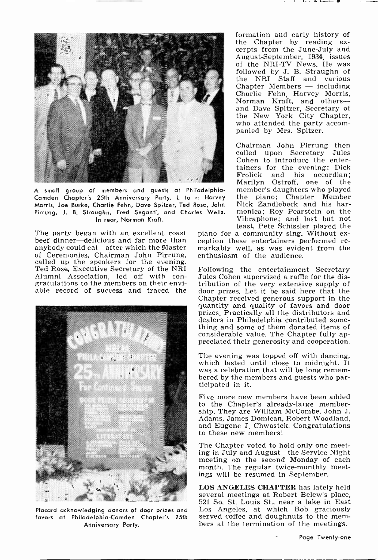

small group of members and guests at Philadelphia-Camden Chapter's 25th Anniversary Party. L to r: Harvey Morris, Joe Burke, Charlie Fehn, Dave Spitzer, Ted Rose, John Pirrung, J. B. Straughn, Fred Seganti, and Charles Wells. In rear, Norman Kraft.

beef dinner-delicious and far more than anybody could eat-after which the Master<br>of Ceremonies, Chairman John Pirrung, called up the speakers for the evening.<br>Ted Rose, Executive Secretary of the NRI Following the entertainment Secretary<br>Alumni Association, led off with con- Jules Cohen supervised a raffle for the dis-Alumni Association, led off with con- gratulations to the members on their enviable record of success and traced the



favors at Philadelphia -Camden Chapter's 25th Anniversary Party.

formation and early history of<br>the Chapter by reading excerpts from the June-July and August -September, 1934, issues followed by J. B. Straughn of the NRI Staff and various Chapter Members - including<br>Charlie Fehn, Harvey Morris, Norman Kraft, and othersand Dave Spitzer, Secretary of the New York City Chapter, who attended the party accom- panied by Mrs. Spitzer.

Chairman John Pirrung then called upon Secretary Jules Cohen to introduce the entertainers for the evening: Dick<br>Frolick and his accordian; Marilyn Ostroff, one of the<br>member's daughters who played the piano; Chapter Member Nick Zandlebeck and his harmonica; Roy Pearstein on the Vibraphone; and last but not least, Pete Schissler played the

The party began with an excellent roast piano for a community sing. Without ex-<br>beef dinner--delicious and far more than eeption these entertainers performed remarkably well, as was evident from the enthusiasm of the audience.

> Following the entertainment Secretary tribution of the very extensive supply of door prizes. Let it be said here that the Chapter received generous support in the quantity and quality of favors and door prizes. Practically all the distributors and dealers in Philadelphia contributed some- thing and some of them donated items of considerable value. The Chapter fully appreciated their generosity and cooperation.

> The evening was topped off with dancing, which lasted until close to midnight. It was a celebration that will be long remem-<br>bered by the members and guests who par-<br>ticipated in it.

Five more new members have been added to the Chapter's already -large membership. They are William McCombe, John J. Adams, James Domican, Robert Woodland, and Eugene J. Chwastek. Congratulations to these new members!

The Chapter voted to hold only one meet-<br>ing in July and August—the Service Night meeting on the second Monday of each month. The regular twice-monthly meetings will be resumed in September.

Placard acknowledging donors of door prizes and Los Angeles,at which Bob graciously<br>favors at Philadelphia-Camden Chapter's 25th served coffee and doughnuts to the mem-LOS ANGELES CHAPTER has lately held several meetings at Robert Belew's place, 521 So. St. Louis St., near a lake in East Los Angeles, at which Bob graciously

Page Twenty-one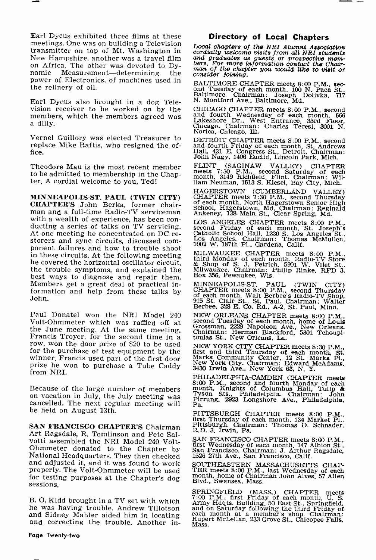Earl Dycus exhibited three films at these meetings. One was on building a Television transmitter on top of Mt. Washington in on Africa. The other was devoted to Dy-<br>namic Measurement—determining the consider joining. power of Electronics, of machines used in the refinery of oil.

Earl Dycus also brought in a dog Television receiver to be worked on by the members, which the members agreed was a dilly.

replace Mike Raftis, who resigned the office.

Theodore Mau is the most recent member to be admitted to membership in the Chapter. A cordial welcome to you, Ted!

MINNEAPOLIS -ST. PAUL (TWIN CITY) CHAPTER'S John Berka, former chairman and a full-time Radio-TV serviceman with a wealth of experience, has been con-<br>ducting a series of talks on TV servicing. Second Friday of each month, St. Joseph<br>At one meeting he concentrated on DC re- Catholic School Hall, 1220 S. Los Angeles St.<br>storers a he covered the horizontal oscillator circuit, the trouble symptoms, and explained the best ways to diagnose and repair them. Members get a great deal of practical information and help from these talks by John.

Paul Donatel won the NRI Model 240 Volt-Ohmmeter which was raffled off at<br>the June meeting. At the same meeting, Francis Troyer, for the second time in a row, won the door prize of \$20 to be used for the purchase of test equipment by the winner, Francis used part of the first door prize he won to purchase a Tube Caddy from NRI.

Because of the large number of members mo<br>on vacation in July, the July meeting was Ty:<br>cancelled. The next regular meeting will Pa be held on August 13th.

SAN FRANCISCO CHAPTER'S Chairman Art Ragsdale, R. Tomlinson and Pete Sal-Ohmmeter donated to the Chapter by<br>National Headquarters. They then checked and adjusted it, and it was found to work properly. The Volt -Ohmmeter will be used for testing purposes at the Chapter's dog sessions.

B. O. Kidd brought in a TV set with which he was having trouble. Andrew Tillotson and correcting the trouble. Another in-  $\frac{r_{\text{u}}}{\text{Mass}}$ .

#### Directory of Local Chapters

Local chapters of the NRI Alumni Association<br>cordially welcome visits from all NRI students<br>and graduates as guests or prospective mem-<br>bers. For more information contact the Chair-<br>man of the chapter you would like to vis

BALTIMORE CHAPTER meets 8:00 P.M., sec- ond Tuesday of each month, 100 N. Paca St., Baltimore. Chairman: Joseph Dolivka, <sup>717</sup> N. Montford Ave., Baltimore, Md.

Vernel Guillory was elected Treasurer to CHICAGO CHAPTER meets 8:00 P.M., second and fourth Wednesday of each month, 666 Lakeshore Dr., West Entrance. 33rd Floor, Chairman: Charles Teresi, 3001 N.

DETROIT CHAPTER meets 8:00 P.M., second and fourth Friday of each month, St. Andrews Hall, 431 E. Congress St., Detroit. Chairman: John Nagy, 1406 Euclid, Lincoln Park, Mich.

FLINT (SAGINAW VALLEY) CHAPTER<br>meets 7:30 P.M., second Saturday of each<br>month, 3149 Richfield. Flint. Chairman: Wil-<br>liam Neuman, 1613 S. Kiesel, Bay City, Mich.

HAGERSTOWN (CUMBERLAND VALLEY) CHAPTER meets 7:30 P.M.. second Thursday of each month, North Hagerstown Senior High School, Hagerstown, Md. Chairman: Reginald Ankeney, 138 Main St., Clear Spring, Md.

LOS ANGELES CHAPTER meets 8:00 P.M., second Friday of each month, St. Joseph's Catholic School Hall. 1220 S. Los Angeles St., Los Angeles. Chairman: Thomas McMullen, 1002 W. 187th Pl., Gardena, Calif.

MILWAUKEE CHAPTER meets 8:00 P.M., third Monday of each month. Radio-TV Store & Shop of S. J. Petrich, 5901 W. Vilet St., Milwaukee. Chairman: Philip Rinke, RFD 3, Box 356, Pewaukee, Wis.

MINNEAPOLIS-ST. PAUL (TWIN CITY)<br>CHAPTER meets 8:00 P.M., second Thursday<br>of each month, Walt Berbee's Radio-TV Shop,<br>915 St. Clair St., St. Paul. Chairman: Walter<br>Berbee, 328 E. Co. Rd., A-2. St. Paul, Minn.

NEW ORLEANS CHAPTER meets 8:00 P.M., second Tuesday of each month, home of Louis Grossman, 2229 Napoleon Ave., New Orleans. Chairman: Herman Blackford, 5301 Tchoupl- toulas St., New Orleans, La.

NEW YORK CITY CHAPTER meets 8:30 P.M., first and third Thursday of each month, St. Marks Community Center, 12 St. Marks Pl., New York City. Chairman: Edward McAdams, 3430 Irwin Ave., New York 63, N. Y.

PHILADELPHIA-CAMDEN CHAPTER meets 8:00 P.M., second and fourth Monday of each month, Knights of Columbus Hall, Tulip & Tyson Sts., Philadelphia. Chairman: John Pirrung, 2923 Longshore Ave., Philadelphia,

PITTSBURGH CHAPTER meets 8:00 P.M., first Thursday of each month, 134 Market Pl., Pittsburgh. Chairman: Thomas D. Schnader, R.D. 3. Irwin, Pa.

SAN FRANCISCO CHAPTER meets 8:00 P.M., first Wednesday of each month, 147 Albion St., San Francisco. Chairman: J. Arthur Ragsdale, 1526 27th Ave., San Francisco, Calif.

SOUTHEASTERN MASSACHUSETTS CHAP-TER meets 8:00 P.M., last Wednesday of each month, home of Chairman John Alves. 57 Allen Blvd., Swansea, Mass.

SPRINGFIELD (MASS.) CHAPTER meets<br>7:00 P.M., first Friday of each month, U.S.<br>Army Hdgts. Building. 50 East St., Springfield,<br>and on Saturday following the third Friday of<br>each month at a member's shop. Chairman:<br>Rupert Mc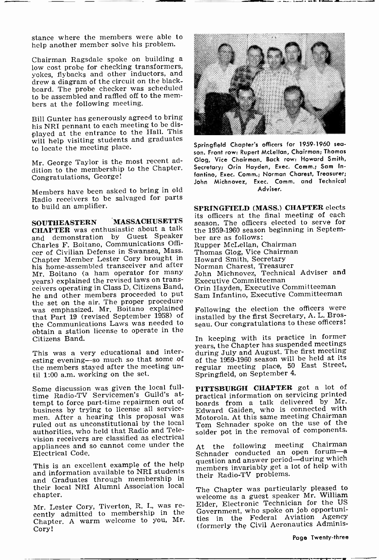stance where the members were able to help another member solve his problem.

Chairman Ragsdale spoke on building a low cost probe for checking transformers, yokes, flybacks and other inductors, and drew a diagram of the circuit on the blackboard. The probe checker was scheduled to be assembled and raffled off to the mem- bers at the following meeting.

Bill Gunter has generously agreed to bring his NRI pennant to each meeting to be displayed at the entrance to the Hall. This will help visiting students and graduates<br>to logate the meeting place springfield Chapter's officers for 1959-1960 seq. to locate the meeting place.

Mr. George Taylor is the most recent addition to the membership to the Chapter. Congratulations, George!

Members have been asked to bring in old Radio receivers to be salvaged for parts to build an amplifier.

SOUTHEASTERN MASSACHUSETTS sea<br>CHAPTER was enthusiastic about a talk and demonstration by Guest Speaker<br>Charles F. Boitano, Communications Officer of Civilian Defense in Swansea, Mass. Thomas Glog, Vice Chairr<br>Chapter Member Lester Cory brought in Howard Smith, Secretary Chapter Member Lester Cory brought in his home -assembled transceiver and after Mr. Boitano (a ham operator for many years) explained the revised laws on transceivers operating in Class D, Citizens Band, he and other members proceeded to put the set on the air. The proper procedure<br>was emphasized. Mr. Boitano explained Fo that Part 19 (revised September 1958) of the Communications Laws was needed to seau. Our congratulations to these officers! obtain a station license to operate in the Citizens Band.

This was a very educational and interesting evening-so much so that some of the members stayed after the meeting un- til 1:00 a.m. working on the set.

Some discussion was given the local full-time Radio-TV Servicemen's Guild's attempt to force part-time repairmen out of business by trying to license all service- men. After a hearing this proposal was ruled out as unconstitutional by the local authorities, who held that Radio and Television receivers are classified as electrical appliances and so cannot come under the Electrical Code.

This is an excellent example of the help and information available to NRI students and Graduates through membership in their local NRI Alumni Association local chapter.

Mr. Lester Cory, Tiverton, R. I., was re- cently admitted to membership in the Chapter. A warm welcome to you, Mr. Cory!



son. Front row: Rupert McLellan, Chairman; Thomas Glog, Vice Chairman. Back row: Howard Smith, Secretary; Orin Hayden, Exec. Comm.; Sam Infantino, Exec. Comm.; Norman Charest, Treasurer; John Michnovez, Exec. Comm. and Technical Adviser.

SPRINGFIELD (MASS.) CHAPTER elects its officers at the final meeting of each season. The officers elected to serve for the 1959-1960 season beginning in September are as follows: Rupper McLellan, Chairman Thomas Glog, Vice Chairman Norman Charest, Treasurer John Michnovez, Technical Adviser and Executive Committeeman Orin Hayden, Executive Committeeman Sam Infantino, Executive Committeeman

Following the election the officers were installed by the first Secretary, A. L. Bros-

In keeping with its practice in former years, the Chapter has suspended meetings during July and August. The first meeting of the 1959-1960 season will be held at its regular meeting place, 50 East Street, Springfield, on September 4.

PITTSBURGH CHAPTER got a lot of practical information on servicing printed boards from a talk delivered by Mr. Edward Gaiden, who is connected with Motorola. At this same meeting Chairman Tom Schnader spoke on the use of the solder pot in the removal of components.

At the following meeting Chairman Schnader conducted an open forum-a question and answer period-during which members invariably get a lot of help with their Radio-TV problems.

The Chapter was particularly pleased to welcome as a guest speaker Mr. William Elder, Electronic Technician for the US Government, who spoke on job opportunities in the Federal Aviation Agency (formerly the Civil Aeronautics Adminis-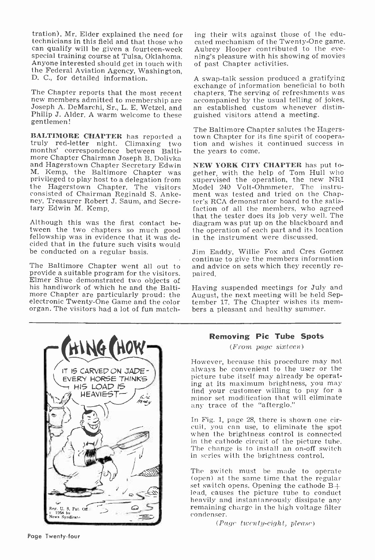tration). Mr. Elder explained the need for technicians in this field and that those who cated mechanism of the Twenty-One game.<br>
can qualify will be given a fourteen-week Aubrey Hooper contributed to the eve-<br>
special training course at Tulsa. Oklahoma ning's pleas special training course at Tulsa, Oklahoma. Anyone interested should get in touch with the Federal Aviation Agency, Washington, D. C., for detailed information.

The Chapter reports that the most recent chapters. The serving of refreshments was new members admitted to membership are accompanied by the usual telling of jokes, Joseph A. DeMarchi, Sr., L. E. Wetzel, and an established Joseph A. DeMarchi, Sr., L. E. Wetzel, and Philip J. Alder. A warm welcome to these gentlemen!

**BALTIMORE CHAPTER** has reported a town Chapter for its fine spirit of cooperatruly red-letter night. Climaxing two tion and wishes it continued success in months' correspondence between Balti- the years to come. more Chapter Chairman Joseph B. Dolivka and Hagerstown Chapter Secretary Edwin M. Kemp, the Baltimore Chapter was privileged to play host to a delegation from the Hagerstown Chapter. The visitors consisted of Chairman Reginald S. Ankeney, Treasurer Robert J. Saum, and Secretary Edwin M. Kemp,

Although this was the first contact between the two chapters so much good fellowship was in evidence that it was decided that in the future such visits would be conducted on a regular basis.

The Baltimore Chapter went all out to and adprovide a suitable program for the visitors. paired. provide a suitable program for the visitors. Elmer Shue demonstrated two objects of more Chapter are particularly proud: the August, the next meeting will be held Sepelectronic Twenty-One Game and the color tember 17. The Chapter wishes its norgan. The visitors had a lot of fun match-<br>bers a pleasant and healthy summer. organ. The visitors had a lot of fun match-

ing their wits against those of the educated mechanism of the Twenty -One game. Aubrey Hooper contributed to the eveof past Chapter activities.

<sup>A</sup>swap -talk session produced a gratifying exchange of information beneficial to both chapters. The serving of refreshments was guished visitors attend a meeting.

The Baltimore Chapter salutes the Hagerstown Chapter for its fine spirit of cooperathe years to come.

NEW YORK CITY CHAPTER has put together, with the help of Tom Hull who supervised the operation, the new NRI Model 240 Volt -Ohmmeter. The instrument was tested and tried on the Chap-<br>ter's RCA demonstrator board to the satis-<br>faction of all the members, who agreed that the tester does its job very well. The diagram was put up on the blackboard and the operation of each part and its location in the instrument were discussed.

Jim Eaddy, Willie Fox and Cres Gomez continue to give the members information and advice on sets which they recently re-

Having suspended meetings for July and tember 17. The Chapter wishes its mem-



#### Removing Pic Tube Spots

(From page sixteen)

However, because this procedure may not always be convenient to the user or the picture tube itself may already be operating at its maximum brightness, you may find your customer willing to pay for a minor set modification that will eliminate any trace of the "afterglo.

In Fig. 1, page 28, there is shown one cir-<br>cuit, you can use, to eliminate the spot when the brightness control is connected in the cathode circuit of the picture tube. The change is to install an on-off switch in series with the brightness control.

The switch must be made to operate (open) at the same time that the regular set switch opens. Opening the cathode  $B+$ lead, causes the picture tube to conduct heavily and instantaneously dissipate any remaining charge in the high voltage filter condenser.

(Page twenty-eight, please)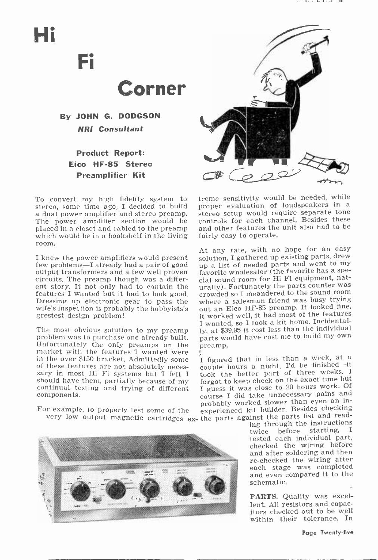# Hi

Fi



By JOHN G. DODGSON NRI Consultant

### Product Report: Eico HF-85 Stereo Preamplifier Kit

To convert my high fidelity system to treme sensitivity would be needed, while stereo, some time ago, I decided to build proper evaluation of loudspeakers in a stereo, some time ago, I decided to build a dual power amplifier and stereo preamp. The power amplifier section would be placed in a closet and cabled to the preamp which would be in a bookshelf in the living room.

<sup>I</sup>knew the power amplifiers would present few problems-I already had a pair of good output transformers and a few well proven circuits. The preamp though was a different story. It not only had to contain the urally). Fortunately the parts counter was<br>features I wanted but it had to look good. crowded so I meandered to the sound room features I wanted but it had to look good. Dressing up electronic gear to pass the wife's inspection is probably the hobbyists's grestest design problem!

The most obvious solution to my preamp ly, at \$39 problem was to purchase one already built. parts we Unfortunately the only preamps on the preamp. Unfortunately the only preamps on the market with the features I wanted were  $\int$  is a figured that in less than a week, at a in the over \$150 bracket. Admittedly some I figured that in less than a week, at a of these features are not absolutely neces-<br>sary in most Hi Fi systems but I felt I<br>should have them, partially because of my continual testing and trying of different  $\frac{1}{2}$  guess it was close to 20 hours work. Of components.

For example, to properly test some of the very low output magnetic cartridges ex- the parts against the parts list and read-<br>very low output magnetic cartridges ex- the parts against the parts list and read-





treme sensitivity would be needed, while stereo setup would require separate tone controls for each channel. Besides these and other features the unit also had to be fairly easy to operate.

At any rate, with no hope for an easy solution, I gathered up existing parts, drew up a list of needed parts and went to my favorite wholesaler (the favorite has a special sound room for Hi Fi equipment, natwhere a salesman friend was busy trying out an Eico HF -85 preamp. It looked fine, it worked well, it had most of the features I wanted, so I took a kit home. Incidentally, at \$39.95 it cost less than the individual parts would have cost me to build my own

couple hours a night, I'd be finished-it took the better part of three weeks. <sup>I</sup> forgot to keep check on the exact time but course I did take unnecessary pains and probably worked slower than even an inexperienced kit builder. Besides checking

ing through the instructions<br>twice before starting, I before starting, I tested each individual part, checked the wiring before and after soldering and then<br>re-checked the wiring after each stage was completed and even compared it to the schematic.

PARTS. Quality was excellent. All resistors and capacitors checked out to be well within their tolerance. In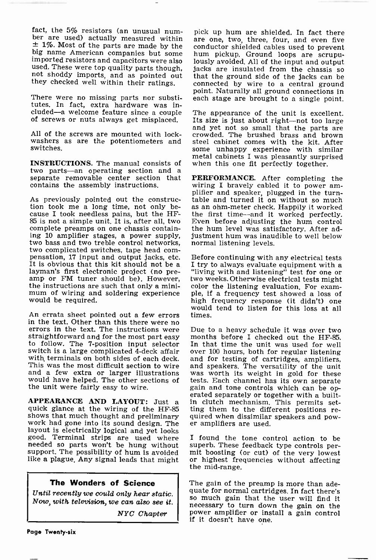fact, the 5% resistors (an unusual num-<br>ber are used) actually measured within are one, two, three, four, and even five<br> $\pm$  1%. Most of the parts are made by the conductor shielded cables used to prevent<br>big name America imported resistors and capacitors were also lously avoided. All of the input and output used. These were top quality parts though, jacks are insulated from the chassis so

There were no missing parts nor substitutes. In fact, extra hardware was in-

switches.

INSTRUCTIONS. The manual consists of when this one fit perfectly together. two parts—an operating section and a<br>separate removable center section that **PERFORMANCE**. After completing the<br>contains the assembly instructions, wiring I bravely cabled it to power amcontains the assembly instructions.

As previously pointed out the construc-<br>tion took me a long time, not only betion took me a long time, not only be- as an ohm-meter check. Happily it worked cause I took needless pains, but the HF- the first time--and it worked perfectly.<br>85 is not a simple unit. It is, after all, two Even before a complete preamps on one chassis containing 10 amplifier stages, a power supply, two bass and two treble control networks,<br>two complicated switches, tape head compensation, 17 input and output jacks, etc. Before continuing with any electrical tests It is obvious that this kit should not be a  $\overline{a}$  I try to always evaluate equipment with a layman's first electronic project (no pre-<br>amp or FM tuner should be). However,<br>the instructions are such that only a mini-<br>mum of wiring and soldering experience<br>would be required.

errors in the text. The instructions were Due to a heavy schedule it was over two straightforward and for the most part easy months before I checked out the HF-85.<br>to follow. The 7-position input selector In that time the switch is a large complicated 4-deck affair over 100 hours, both for regular listening with terminals on both sides of each deck. and for testing of cartridges, amplifiers, with terminals on both sides of each deck. and for testing of cartridges, amplifiers, This was the most difficult section to wire and speakers. The versatility of the unit This was the most difficult section to wire and speakers. The versatility of the unit and a few extra or larger illustrations was worth its weight in gold for these and a few extra or larger illustrations was worth its weight in gold for these would have helped. The other sections of tests. Each channel has its own separate would have helped. The other sections of the unit were fairly easy to wire.

shows that much thought and preliminary work had gone into its sound design. The layout is electrically logical and yet looks good. Terminal strips are used where needed so parts won't be hung without needed so parts won't be hung without superb. These feedback type controls per-<br>support. The possibility of hum is avoided mit boosting (or cut) of the very lowest like a plague. Any signal leads that might or highest free the mid-range.

#### The Wonders of Science

Now, with television, we can also see it.

NYC Chapter

not shoddy imports, and as pointed out that the ground side of the jacks can be they checked well within their ratings. connected by wire to a central ground pick up hum are shielded. In fact there are one, two, three, four, and even five hum pickup. Ground loops are scrupupoint. Naturally all ground connections in each stage are brought to a single point.

cluded-a welcome feature since a couple The appearance of the unit is excellent.<br>of screws or nuts always get misplaced. Its size is just about right-not too large<br>and yet not so small that the parts are All of the screws are mounted with lock-crowded. The brushed brass and brown washers as are the potentiometers and steel cabinet comes with the kit. After switches. The appearance of the unit is excellent. Its size is just about right-not too large crowded. The brushed brass and brown steel cabinet comes with the kit. After metal cabinets I was pleasantly surprised

> PERFORMANCE. After completing the plifier and speaker, plugged in the turntable and turned it on without so much Even before adjusting the hum control the hum level was satisfactory. After adjustment hum was inaudible to well below normal listening levels.

would tend to listen for this loss at all<br>in the text. Other than this there were no<br> Before continuing with any electrical tests "Iiving with and listening" test for one or two weeks. Otherwise electrical tests might color the listening evaluation. For example, if a frequency test showed a loss of high frequency response (it didn't) one times.

erated separately or together with a built-<br>APPEARANCE AND LAYOUT: Just a in clutch mechanism. This permits set-<br>quick glance at the wiring of the HF-85 ting them to the different positions re-<br>shows that much thought and Due to a heavy schedule it was over two months before I checked out the HF-85. over 100 hours, both for regular listening gain and tone controls which can be opting them to the different positions reer amplifiers are used.

> I found the tone control action to be or highest frequencies without affecting

Until recently we could only hear static.  $\begin{bmatrix} \text{quad for normal cartridges.} \text{In fact there's} \end{bmatrix}$ The gain of the preamp is more than adeso much gain that the user will find it necessary to turn down the gain on the power amplifier or install a gain control if it doesn't have one.

Page Twenty-six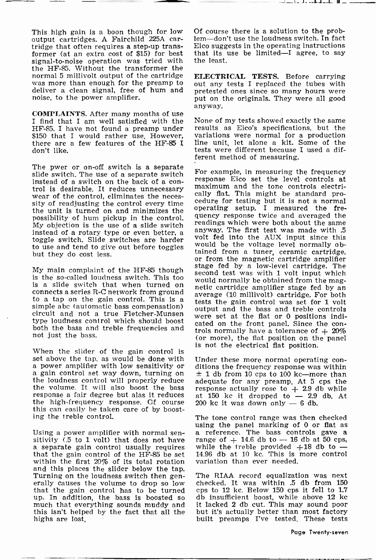output cartridges. A Fairchild 225A car- tridge that often requires a step-up transformer (at an extra cost of \$15) for best that its  $\frac{1}{2}$  signal-to-noise operation was tried with the least. signal-to-noise operation was tried with the HF-85. Without the transformer the normal 5 millivolt output of the cartridge was more than enough for the preamp to out any tests I replaced the tubes with deliver a clean signal, free of hum and pretested ones since so many hours were deliver a clean signal, free of hum and noise, to the power amplifier.

**COMPLAINTS.** After many months of use  $I$  find that  $I$  am well satisfied with the  $I$  None of my tests showed exactly the same HF-85. I have not found a preamp under results as Eico's specifications, but the \$150 that I would rather use. However, variations were normal for a production \$150 that I would rather use. However, there are a few features of the HF -85 I don't like.

The pwer or on-off switch is a separate slide switch. The use of a separate switch instead of a switch on the back of a control is desirable. It reduces unnecessary maximum and the tone controls electri-<br>wear of the control, eliminates the neces-<br>sity of readjusting the control every time<br>edure for testing but it is not a normal the unit is turned on and minimizes the possibility of hum pickup in the control. The graph assignment twice and averaged the possibility of hum pickup My objection is the use of a slide switch<br>instead of a rotary type or even better, a toggle switch. Slide switches are harder to use and tend to give out before toggles but they do cost less.

is the so-called loudness switch. This too is a slide switch that when turned on artic cartridge amplifier stage fed by an connects a series R-C network from ground average (10 millivolt) cartridge. For both to a tap on the gain control. This is a simple abc (automatic bass compensation) output and the bass and treble controls<br>circuit and not a true Fletcher-Munsen were set at the flat or 0 positions inditype loudness control which should boost both the bass and treble frequencies and trols normally have a tolerance of  $+20\%$ not just the bass.

is not the electrical flat position.<br>When the slider of the gain control is<br>set above the tap, as would be done with Under these more normal operation a power amplifier with low sensitivity or ditions the frequency response was within<br>a gain control set way down, turning on  $\pm 1$  db from 10 cps to 100 kc—more than<br>the loudness control will properly reduce adequate for the volume. It will also boost the bass response a fair degree but alas it reduces at 150 kc it dropped to  $-2.9$ <br>the high-frequency response. Of course 200 kc it was down only  $-6$  db. the high -frequency response. Of course this can easily be taken care of by boosting the treble control.

within the first 20% of its total rotation and this places the slider below the tap.<br>Turning on the loudness switch then gen-<br>erally causes the volume to drop so low that the gain control has to be turned up. In addition, the bass is boosted so db insufficient boost, while above 12 kc<br>much that everything sounds muddy and it lacked 2 db cut. This may sound poor this isn't helped by the fact that all the highs are lost.

This high gain is a boon though for low Of course there is a solution to the problem-don't use the loudness switch. In fact Eico suggests in the operating instructions that its use be limited-I agree, to say

.... La ste endeal-a-la H ....

ELECTRICAL TESTS. Before carrying out any tests I replaced the tubes with put on the originals. They were all good anyway.

results as Eico's specifications, but the line unit, let alone a kit. Some of the tests were different because I used a different method of measuring.

My main complaint of the HF-85 though stage fed by a low-level cartridge. The For example, in measuring the frequency response Eico set the level controls at maximum and the tone controls electrically flat. This might be standard pro- cedure for testing but it is not a normal operating setup. I measured the frequency response twice and averaged the anyway. The first test was made with .5 volt fed into the AUX input since this would be the voltage level normally obtained from a tuner, ceramic cartridge, or from the magnetic cartridge amplifier second test was with 1 volt input which would normally be obtained from the magtests the gain control was set for 1 volt were set at the flat or 0 positions indicated on the front panel. Since the con-(or more), the flat position on the panel

> Under these more normal operating con- $±$  1 db from 10 cps to 100 kc-more than adequate for any preamp. At 5 cps the response actually rose to  $+2.9$  db while adequate for any preamp. At 3 cps the<br>response actually rose to  $+$  2.9 db while<br>at 150 kc it dropped to  $-$  2.9 db. At<br>200 kc it was down only  $-$  6 db.

Using a power amplifier with normal sen-<br>sitivity (.5 to 1 volt) that does not have range of  $+$  14.6 db to  $-$  16 db at 50 cps,<br>a separate gain control usually requires while the treble provided  $+18$  db to  $-$ <br>that the The tone control range was then checked<br>using the panel marking of 0 or flat as using the panel marking of 0 or flat as<br>a reference. The bass controls gave a<br>range of  $+$  14.6 db to  $-$  16 db at 50 cps,<br>while the treble provided  $+18$  db to  $-$ <br>14.96 db at 10 kc. This is more control variation than ever needed.

> The RIAA record equalization was next checked. It was within .5 db from 150 cps to 12 kc. Below 150 cps it fell to 1.7 db insufficient boost, while above 12 kc but it's actually better than most factory built preamps I've tested. These tests

> > Page Twenty-seven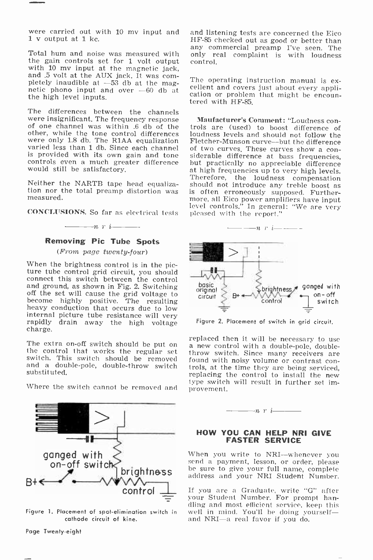were carried out with 10 my input and <sup>1</sup>v output at 1 kc.

Total hum and noise was measured with<br>the gain controls set for 1 volt output with 10 my input at the magnetic jack, and .5 volt at the AUX jack. It was com-<br>pletely inaudible at  $-53$  db at the magnetic phono input and over  $-60$  db at<br>the high level inputs.

The differences between the channels<br>were insignificant. The frequency response **Maufacturer's Comment:** "Loudness con-<br>of one channel was within .6 db of the trols are (used) to boost difference of<br>other, while the tone c were only 1.8 db. The R1AA equalization Fletcher-Munson curve—but the difference<br>varied less than 1 db. Since each channel of two curves. These curves show a conis provided with its own gain and tone siderable difference at bass frequencies, controls even a much greater difference but practically no appreciable difference controls even a much greater difference would still be satisfactory.

Neither the NARTB tape head equalization nor the total preamp distortion was measured.

CONCLUSIONS. So far as electrical tests

### $---n r i$ Removing Pic Tube Spots

(From page twenty-four)

When the brightness control is in the pic-<br>ture tube control grid circuit, you should<br>connect this switch between the control and ground, as shown in Fig. 2. Switching<br>off the set will cause the grid voltage to<br>become highly positive. The resulting heavy conduction that occurs due to low internal picture tube resistance will very rapidly drain away the high voltage charge.

switch. This switch should be removed substituted.



Figure 1. Placement of spot-elimination switch in cathode circuit of kine.

and listening tests are concerned the Eico HF -85 checked out as good or better than any commercial preamp I've seen. The only real complaint is with loudness control.

The operating instruction manual is ex-<br>cellent and covers just about every appli-<br>cation or problem that might be encoun-<br>tered with HF-85.

trols are (used) to boost difference of siderable difference at bass frequencies, at high frequencies up to very high levels. Therefore, the loudness compensation should not introduce any treble boost as is often erroneously supposed. Furthermore, all Eico power amplifiers have input level controls." In general: "We are very pleased with the report."



Figure 2. Placement of switch in grid circuit.

The extra on-off switch should be put on the control with a double-pole, double-<br>the control that works the regular set throw switch. Since many receivers are<br>switch. This switch should be removed found with noisy volume o and a double-pole, double-throw switch<br>substituted,<br>replacing the time they are being serviced,<br>replacing the control to install the new Where the switch cannot be removed and type switch will result in further set ima new control with a double-pole, doubleprovement.



#### HOW YOU CAN HELP NRI GIVE FASTER SERVICE

When you write to NRI--whenever you send a payment, lesson, or order, please<br>be sure to give your full name, complete

If you are a Graduate, write "G" after your Student Number. For prompt handling and most efficient service, keep this well in mind. You'll be doing yourself—<br>and NRI—a real favor if you do.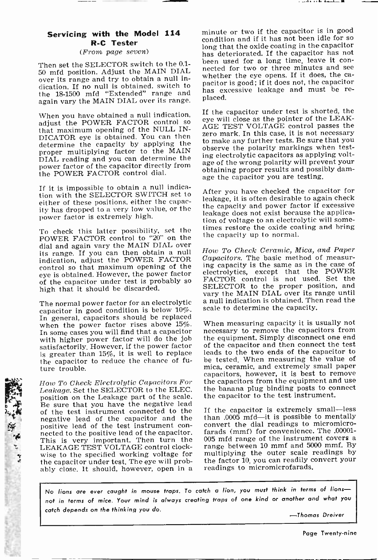#### Servicing with the Model 114 R -C Tester

#### (From page seven)

over its range and try to obtain a null inover its range and try to obtain a null in-<br>dication. If no null is obtained, switch to the 18-1500 mfd "Extended" range and nas ex again vary the MAIN DIAL over its range.

When you have obtained a null indication, adjust the POWER FACTOR control so that maximum opening of the NULL IN-DICATOR eye is obtained. You can then determine the capacity by applying the proper multiplying factor to the MAIN DIAL reading and you can determine the power factor of the capacitor directly from the POWER FACTOR control dial.

If it is impossible to obtain a null indication with the SELECTOR SWITCH set to either of these positions, either the capacity has dropped to a very low value, or the power factor is extremely high.

To check this latter possibility, set the POWER FACTOR control to "20" on the dial and again vary the MAIN DIAL over its range. If you can then obtain a null indication, adjust the POWER FACTOR control so that maximum opening of the eye is obtained. However, the power factor of the capacitor under test is probably so high that it should be discarded.

capacitor in good condition is below 10%. In general, capacitors should be replaced when the power factor rises above 15%. In some cases you will find that a capacitor with higher power factor will do the job satisfactorily. However, if the power factor is greater than 15%, it is well to replace the capacitor to reduce the chance of future trouble.

Leakage. Set the SELECTOR to the ELEC. position on the Leakage part of the scale. Be sure that you have the negative lead of the test instrument connected to the negative lead of the capacitor and the positive lead of the test instrument con-<br>nected to the positive lead of the capacitor. farads (mmf) for convenience. The .00001-<br>This is very important. Then turn the 005 mfd range of the instrument covers a This is very important. Then turn the LEAKAGE TEST VOLTAGE control clockwise to the specified working voltage for the capacitor under test. The eye will probably close. It should, however, open in a

「大きいます」

Then set the SELECTOR switch to the 0.1-<br>50 mfd position. Adjust the MAIN DIAL nected for two or three minutes and see minute or two if the capacitor is in good condition and if it has not been idle for so long that the oxide coating in the capacitor has deteriorated. If the capacitor has not nected for two or three minutes and see<br>whether the eye opens. If it does, the cahas excessive leakage and must be re-

> If the capacitor under test is shorted, the eye will close as the pointer of the LEAK-<br>AGE TEST VOLTAGE control passes the zero mark. In this case, it is not necessary to make any further tests. Be sure that you observe the polarity markings when testing electrolytic capacitors as applying voltage of the wrong polarity will prevent your obtaining proper results and possibly damage the capacitor you are testing.

> After you have checked the capacitor for leakage, it is often desirable to again check the capacity and power factor if excessive leakage does not exist because the application of voltage to an electrolytic will sometimes restore the oxide coating and bring the capacity up to normal.

The normal power factor for an electrolytic a null indication is obtained. Then read the How To Check Ceramic, Mica, and Paper Capacitors. The basic method of measuring capacity is the same as in the case of electrolytics, except that the POWER FACTOR control is not used. Set the SELECTOR to the proper position, and vary the MAIN DIAL over its range until scale to determine the capacity.

How To Check Electrolytic Capacitors For the capacitors from the equipment and use When measuring capacity it is usually not necessary to remove the capacitors from the equipment. Simply disconnect one end of the capacitor and then connect the test leads to the two ends of the capacitor to be tested. When measuring the value of mica, ceramic, and extremely small paper capacitors, however, it is best to remove the banana plug binding posts to connect the capacitor to the test instrument.

> If the capacitor is extremely small—less than .0005 mfd-it is possible to mentally convert the dial readings to micromicrofarads (mmf) for convenience. The .00001 range between 10 mmf and 5000 mmf. By multiplying the outer scale readings by the factor 10, you can readily convert your readings to micromicrofarads.

No lions are ever caught in mouse traps. To catch a lion, you must think in terms of lionsnot in terms of mice. Your mind is always creating traps of one kind or another and what you catch depends on the thinking you do.

-Thomas Dreiver

Page Twenty-nine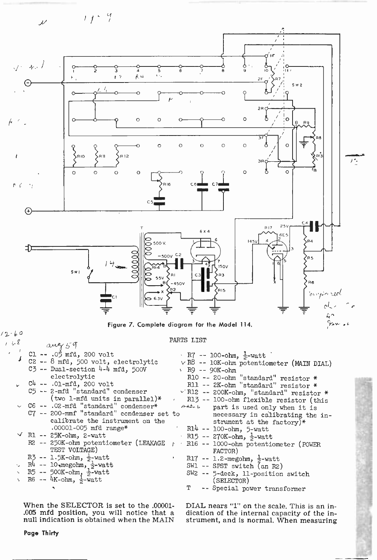

#### PARTS LIST

|  | $CL -- .05 mfd, 200 volt$                   | R7 -- 100-ohm, $\frac{1}{2}$ -watt                             |  |
|--|---------------------------------------------|----------------------------------------------------------------|--|
|  | C2 -- 8 mfd, 500 volt, electrolytic         | $\vee$ R <sup>8</sup> -- 10K-ohm potentiometer (MAIN DIAL)     |  |
|  | $C3$ -- Dual-section 4-4 mfd, 500V          | $R9 - 90K$ -ohm                                                |  |
|  | electrolytic                                | R10 -- 20-ohm "standard" resistor *                            |  |
|  | $U = 04$ -- $.01$ -mfd, 200 volt            | R11 -- 2K-ohm "standard" resistor *                            |  |
|  | C5 -- 2-mfd "standard" condenser            | $\vee$ R12 -- 200K-ohm, "standard" resistor *                  |  |
|  | (two 1-mfd units in parallel)*              | R13 -- 100-ohm flexible resistor (this                         |  |
|  | $\sim$ C6 -- .02-mfd "standard" condenser*  | Att b part is used only when it is                             |  |
|  | C7 -- 200-mmf "standard" condenser set to   | necessary in calibrating the in-                               |  |
|  | calibrate the instrument on the             | strument at the factory)*                                      |  |
|  | .00001-005 mfd range*                       | $R14 - 100$ -ohm, 5-watt                                       |  |
|  | $\vee$ R1 -- 25K-ohm, 2-watt                | $\cdot$ R15 -- 270K-ohm, $\frac{1}{2}$ -watt                   |  |
|  | R2 -- 250K-ohm potentiometer (LEAKAGE       | · R16 -- 1000-ohm potentiometer (POWER<br>$\ddot{\phantom{1}}$ |  |
|  | TEST VOLTAGE)                               | FACTOR)                                                        |  |
|  | $R$ 3 -- 1.5K-ohm, $\frac{1}{2}$ -watt      | R17 -- 1.2-megohm, $\frac{1}{2}$ -watt                         |  |
|  | $\sim$ R4 -- 10 megonm, $\frac{1}{2}$ -watt | SW1 -- SPST switch (an R2)                                     |  |
|  | 、 R5 -- 500K-ohm, ~~ watt                   | SW2 -- 5-deck, ll-position switch                              |  |
|  | $\sqrt{RS}$ -- 4K-ohm, $\frac{1}{2}$ -watt  | (SELECTOR)                                                     |  |
|  |                                             | T -- Special power transformer                                 |  |
|  |                                             |                                                                |  |

When the SELECTOR Is set to the .00001- .005 mfd position, you will notice that a null indication is obtained when the MAIN DIAL nears "1" on the scale. This is an indication of the internal capacity of the instrument, and is normal. When measuring

 $\prime\ \sim \mathrm{g}$ 

 $awy59$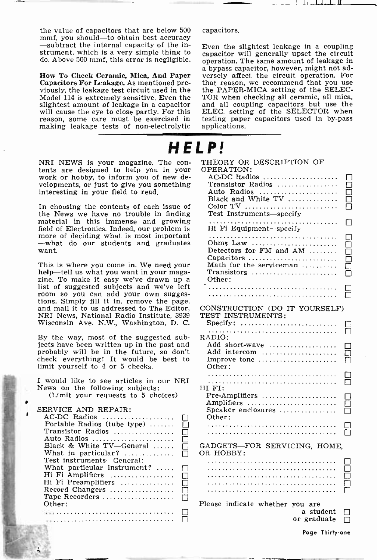the value of capacitors that are below 500 mmf, you should-to obtain best accuracy<br>-subtract the internal capacity of the instrument, which is a very simple thing to capacitor will generally upset the circuit

Model 114 is extremely sensitive. Even the slightest amount of leakage in a capacitor will cause the eye to close partly. For this reason, some care must be exercised in making leakage tests of non -electrolytic

NRI NEWS is your magazine. The contents are designed to help you in your work or hobby, to inform you of new developments, or just to give you something interesting in your field to read.

In choosing the contents of each issue of the News we have no trouble in finding material in this immense and growing field of Electronics. Indeed, our problem is more of deciding what is most important -what do our students and graduates want.

This is where you come in. We need your help-tell us what you want in your magazine. To make it easy we've drawn up a list of suggested subjects and we've left room so you can add your own sugges- tions. Simply fill it in, remove the page, and mail it to us addressed to The Editor, CONSTRUCTION (DO I NRI News, National Radio Institute, 3939 Wisconsin Ave. N.W., Washington, D. C.

By the way, most of the suggested subjects have been written up in the past and probably will be in the future, so don't check everything! It would be best to limit yourself to 4 or 5 checks.

| I would like to see articles in our NRI |    |
|-----------------------------------------|----|
| News on the following subjects:         | ΗГ |
| (Limit your requests to 5 choices)      | F  |
|                                         | Δ  |

SERVICE AND REPAIR:

| AC-DC Radios                 | П |
|------------------------------|---|
| Portable Radios (tube type)  | п |
| Transistor Radios            | П |
| Auto Radios                  | П |
| Black & White TV-General     | П |
| What in particular? $\ldots$ | П |
| Test instruments—General:    |   |
| What particular instrument?  | П |
| Hi Fi Amplifiers             | П |
| Hi Fi Preamplifiers          | П |
| Record Changers              | П |
| Tape Recorders               | П |
| Other:                       |   |
|                              |   |
|                              |   |

capacitors.

do. Above 500 mmf, this error is negligible. operation. The same amount of leakage in How To Check Ceramic, Mica, And Paper versely affect the circuit operation. For Capacitors For Leakage. As mentioned pre-<br>viously, the leakage test circuit used in the  $\pm$  the PAPER-MICA setting of the SELEC-Even the slightest leakage in a coupling a bypass capacitor, however, might not adversely affect the circuit operation. For that reason, we recommend that you use TOR when checking all ceramic, all mica, and all coupling capacitors but use the ELEC. setting of the SELECTOR when testing paper capacitors used in by-pass applications.

## HELP!

THEORY OR DESCRIPTION OF OPERATION: AC-DC Radios ..................... Transistor Radios □ Auto Radios  $\Box$ Black and White TV  $\Box$ Color TV П Test Instruments-specify  $\Box$ Hi Fi Equipment-specify П Ohms Law ......................... П Detectors for FM and AM □ Capacitors ..........................<br>Math for the serviceman ........... П □ Transistors П Other: Л CONSTRUCTION (DO IT YOURSELF) Specify: ............................ RADIO: П Add short-wave ................... П Add intercom R Improve tone ...................... Other: П HI FI: □  $\Box$ Pre-Amplifiers .......................<br>Amplifiers .............................<br>Speaker enclosures ................. o Other: El GADGETS-FOR SERVICING, HOME, OR HOBBY: **o** □ П Please indicate whether you are<br>a student  $\Box$ <br>or graduate  $\Box$ 

Page Thirty-one